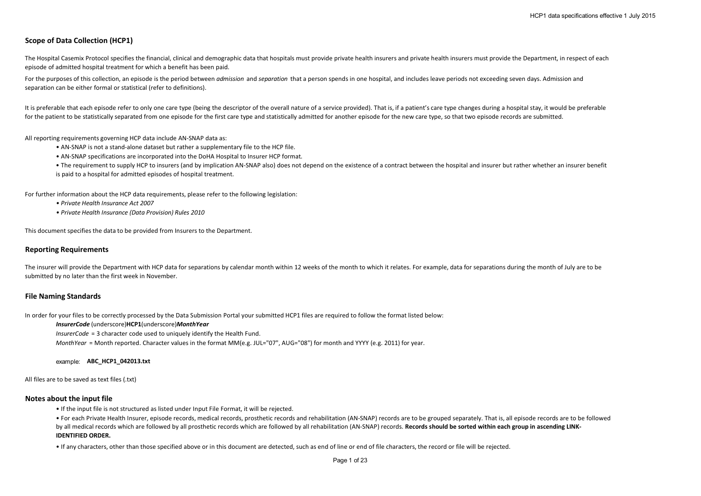# **Scope of Data Collection (HCP1)**

The Hospital Casemix Protocol specifies the financial, clinical and demographic data that hospitals must provide private health insurers and private health insurers must provide the Department, in respect of each episode of admitted hospital treatment for which a benefit has been paid.

For the purposes of this collection, an episode is the period between *admission* and *separation* that a person spends in one hospital, and includes leave periods not exceeding seven days. Admission and separation can be either formal or statistical (refer to definitions).

It is preferable that each episode refer to only one care type (being the descriptor of the overall nature of a service provided). That is, if a patient's care type changes during a hospital stay, it would be preferable for the patient to be statistically separated from one episode for the first care type and statistically admitted for another episode for the new care type, so that two episode records are submitted.

All reporting requirements governing HCP data include AN-SNAP data as:

- AN-SNAP is not a stand-alone dataset but rather a supplementary file to the HCP file.
- AN-SNAP specifications are incorporated into the DoHA Hospital to Insurer HCP format.
- The requirement to supply HCP to insurers (and by implication AN-SNAP also) does not depend on the existence of a contract between the hospital and insurer but rather whether an insurer benefit
- is paid to a hospital for admitted episodes of hospital treatment.

For further information about the HCP data requirements, please refer to the following legislation:

- *Private Health Insurance Act 2007*
- *Private Health Insurance (Data Provision) Rules 2010*

This document specifies the data to be provided from Insurers to the Department.

### **Reporting Requirements**

The insurer will provide the Department with HCP data for separations by calendar month within 12 weeks of the month to which it relates. For example, data for separations during the month of July are to be submitted by no later than the first week in November.

#### **File Naming Standards**

In order for your files to be correctly processed by the Data Submission Portal your submitted HCP1 files are required to follow the format listed below:

### *InsurerCode* (underscore)**HCP1**(underscore)*MonthYear*

*InsurerCode* = 3 character code used to uniquely identify the Health Fund.

*MonthYear* = Month reported. Character values in the format MM(e.g. JUL="07", AUG="08") for month and YYYY (e.g. 2011) for year.

### example: **ABC\_HCP1\_042013.txt**

All files are to be saved as text files (.txt)

## **Notes about the input file**

• If the input file is not structured as listed under Input File Format, it will be rejected.

• For each Private Health Insurer, episode records, medical records, prosthetic records and rehabilitation (AN-SNAP) records are to be grouped separately. That is, all episode records are to be followed by all medical records which are followed by all prosthetic records which are followed by all rehabilitation (AN-SNAP) records. Records should be sorted within each group in ascending LINK-**IDENTIFIED ORDER.** 

• If any characters, other than those specified above or in this document are detected, such as end of line or end of file characters, the record or file will be rejected.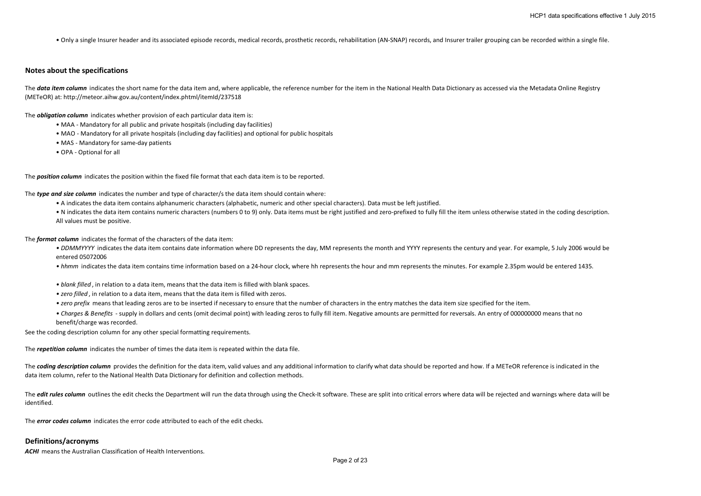• Only a single Insurer header and its associated episode records, medical records, prosthetic records, rehabilitation (AN-SNAP) records, and Insurer trailer grouping can be recorded within a single file.

#### **Notes about the specifications**

The **data item column** indicates the short name for the data item and, where applicable, the reference number for the item in the National Health Data Dictionary as accessed via the Metadata Online Registry (METeOR) at: http://meteor.aihw.gov.au/content/index.phtml/itemId/237518

The *obligation column* indicates whether provision of each particular data item is:

- MAA Mandatory for all public and private hospitals (including day facilities)
- MAO Mandatory for all private hospitals (including day facilities) and optional for public hospitals
- MAS Mandatory for same-day patients
- OPA Optional for all

The *position column* indicates the position within the fixed file format that each data item is to be reported.

The *type and size column* indicates the number and type of character/s the data item should contain where:

- A indicates the data item contains alphanumeric characters (alphabetic, numeric and other special characters). Data must be left justified.
- N indicates the data item contains numeric characters (numbers 0 to 9) only. Data items must be right justified and zero-prefixed to fully fill the item unless otherwise stated in the coding description. All values must be positive.

The *format column* indicates the format of the characters of the data item:

- DDMMYYYY indicates the data item contains date information where DD represents the day, MM represents the month and YYYY represents the century and year. For example, 5 July 2006 would be entered 05072006
- *hhmm* indicates the data item contains time information based on a 24-hour clock, where hh represents the hour and mm represents the minutes. For example 2.35pm would be entered 1435.
- *blank filled* , in relation to a data item, means that the data item is filled with blank spaces.
- *zero filled* , in relation to a data item, means that the data item is filled with zeros.
- *zero prefix* means that leading zeros are to be inserted if necessary to ensure that the number of characters in the entry matches the data item size specified for the item.
- *Charges & Benefits*  supply in dollars and cents (omit decimal point) with leading zeros to fully fill item. Negative amounts are permitted for reversals. An entry of 000000000 means that no benefit/charge was recorded.

See the coding description column for any other special formatting requirements.

The *repetition column* indicates the number of times the data item is repeated within the data file.

The **coding description column** provides the definition for the data item, valid values and any additional information to clarify what data should be reported and how. If a METeOR reference is indicated in the data item column, refer to the National Health Data Dictionary for definition and collection methods.

The **edit rules column** outlines the edit checks the Department will run the data through using the Check-It software. These are split into critical errors where data will be rejected and warnings where data will be identified.

The *error codes column* indicates the error code attributed to each of the edit checks.

#### **Definitions/acronyms**

**ACHI** means the Australian Classification of Health Interventions.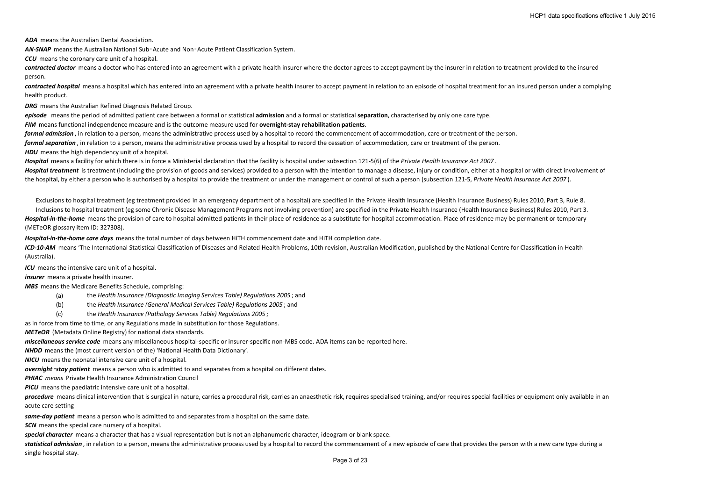*ADA* means the Australian Dental Association.

*AN-SNAP* means the Australian National Sub‑Acute and Non‑Acute Patient Classification System.

*CCU* means the coronary care unit of a hospital.

contracted doctor means a doctor who has entered into an agreement with a private health insurer where the doctor agrees to accept payment by the insurer in relation to treatment provided to the insured person.

*contracted hospital* means a hospital which has entered into an agreement with a private health insurer to accept payment in relation to an episode of hospital treatment for an insured person under a complying health product.

*DRG* means the Australian Refined Diagnosis Related Group.

*episode* means the period of admitted patient care between a formal or statistical **admission** and a formal or statistical **separation**, characterised by only one care type.

*FIM* means functional independence measure and is the outcome measure used for **overnight-stay rehabilitation patients**.

*formal admission* , in relation to a person, means the administrative process used by a hospital to record the commencement of accommodation, care or treatment of the person.

*formal separation* , in relation to a person, means the administrative process used by a hospital to record the cessation of accommodation, care or treatment of the person.

**HDU** means the high dependency unit of a hospital.

*Hospital* means a facility for which there is in force a Ministerial declaration that the facility is hospital under subsection 121-5(6) of the *Private Health Insurance Act 2007* .

Hospital treatment is treatment (including the provision of goods and services) provided to a person with the intention to manage a disease, injury or condition, either at a hospital or with direct involvement of the hospital, by either a person who is authorised by a hospital to provide the treatment or under the management or control of such a person (subsection 121-5, *Private Health Insurance Act 2007* ).

Exclusions to hospital treatment (eg treatment provided in an emergency department of a hospital) are specified in the Private Health Insurance (Health Insurance Business) Rules 2010, Part 3, Rule 8.

Inclusions to hospital treatment (eg some Chronic Disease Management Programs not involving prevention) are specified in the Private Health Insurance (Health Insurance Business) Rules 2010, Part 3. **Hospital-in-the-home** means the provision of care to hospital admitted patients in their place of residence as a substitute for hospital accommodation. Place of residence may be permanent or temporary (METeOR glossary item ID: 327308).

*Hospital-in-the-home care days* means the total number of days between HiTH commencement date and HiTH completion date.

*ICD-10-AM* means 'The International Statistical Classification of Diseases and Related Health Problems, 10th revision, Australian Modification, published by the National Centre for Classification in Health (Australia).

*ICU* means the intensive care unit of a hospital.

*insurer* means a private health insurer.

*MBS* means the Medicare Benefits Schedule, comprising:

- (a) the *Health Insurance (Diagnostic Imaging Services Table) Regulations 2005* ; and
- (b) the *Health Insurance (General Medical Services Table) Regulations 2005* ; and
- (c) the *Health Insurance (Pathology Services Table) Regulations 2005* ;

as in force from time to time, or any Regulations made in substitution for those Regulations.

*METeOR* (Metadata Online Registry) for national data standards.

*miscellaneous service code* means any miscellaneous hospital-specific or insurer-specific non-MBS code. ADA items can be reported here.

*NHDD* means the (most current version of the) 'National Health Data Dictionary'.

*NICU* means the neonatal intensive care unit of a hospital.

*overnight*‑*stay patient* means a person who is admitted to and separates from a hospital on different dates.

*PHIAC means* Private Health Insurance Administration Council

*PICU* means the paediatric intensive care unit of a hospital.

procedure means clinical intervention that is surgical in nature, carries a procedural risk, carries an anaesthetic risk, requires specialised training, and/or requires special facilities or equipment only available in an acute care setting

*same-day patient* means a person who is admitted to and separates from a hospital on the same date.

**SCN** means the special care nursery of a hospital.

*special character* means a character that has a visual representation but is not an alphanumeric character, ideogram or blank space.

statistical admission, in relation to a person, means the administrative process used by a hospital to record the commencement of a new episode of care that provides the person with a new care type during a single hospital stay.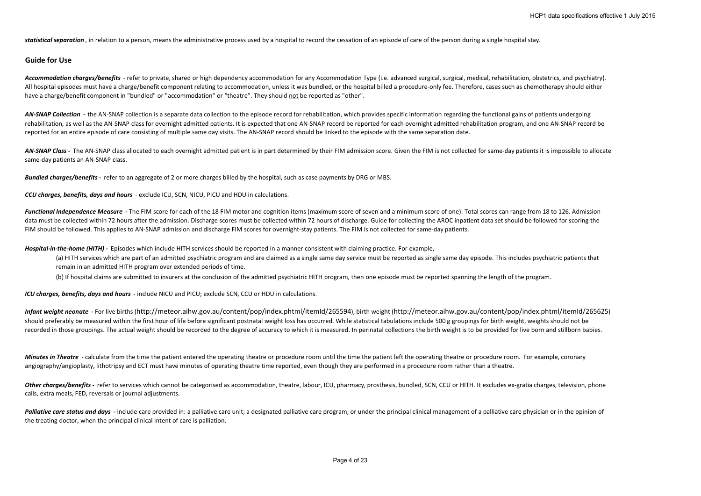statistical separation, in relation to a person, means the administrative process used by a hospital to record the cessation of an episode of care of the person during a single hospital stay.

### **Guide for Use**

Accommodation charges/benefits - refer to private, shared or high dependency accommodation for any Accommodation Type (i.e. advanced surgical, surgical, medical, rehabilitation, obstetrics, and psychiatry). All hospital episodes must have a charge/benefit component relating to accommodation, unless it was bundled, or the hospital billed a procedure-only fee. Therefore, cases such as chemotherapy should either have a charge/benefit component in "bundled" or "accommodation" or "theatre". They should not be reported as "other".

AN-SNAP Collection - the AN-SNAP collection is a separate data collection to the episode record for rehabilitation, which provides specific information regarding the functional gains of patients undergoing rehabilitation, as well as the AN-SNAP class for overnight admitted patients. It is expected that one AN-SNAP record be reported for each overnight admitted rehabilitation program, and one AN-SNAP record be reported for an entire episode of care consisting of multiple same day visits. The AN-SNAP record should be linked to the episode with the same separation date.

AN-SNAP Class - The AN-SNAP class allocated to each overnight admitted patient is in part determined by their FIM admission score. Given the FIM is not collected for same-day patients it is impossible to allocate same-day patients an AN-SNAP class.

*Bundled charges/benefits -* refer to an aggregate of 2 or more charges billed by the hospital, such as case payments by DRG or MBS.

*CCU charges, benefits, days and hours* - exclude ICU, SCN, NICU, PICU and HDU in calculations.

Functional Independence Measure - The FIM score for each of the 18 FIM motor and cognition items (maximum score of seven and a minimum score of one). Total scores can range from 18 to 126. Admission data must be collected within 72 hours after the admission. Discharge scores must be collected within 72 hours of discharge. Guide for collecting the AROC inpatient data set should be followed for scoring the FIM should be followed. This applies to AN-SNAP admission and discharge FIM scores for overnight-stay patients. The FIM is not collected for same-day patients.

*Hospital-in-the-home (HITH) -* Episodes which include HITH services should be reported in a manner consistent with claiming practice. For example,

(a) HITH services which are part of an admitted psychiatric program and are claimed as a single same day service must be reported as single same day episode. This includes psychiatric patients that remain in an admitted HITH program over extended periods of time.

(b) If hospital claims are submitted to insurers at the conclusion of the admitted psychiatric HITH program, then one episode must be reported spanning the length of the program.

*ICU charges, benefits, days and hours* - include NICU and PICU; exclude SCN, CCU or HDU in calculations.

*Infant weight neonate* **-** For live births (http://meteor.aihw.gov.au/content/pop/index.phtml/itemId/265594), birth weight (http://meteor.aihw.gov.au/content/pop/index.phtml/itemId/265625) should preferably be measured within the first hour of life before significant postnatal weight loss has occurred. While statistical tabulations include 500 g groupings for birth weight, weights should not be recorded in those groupings. The actual weight should be recorded to the degree of accuracy to which it is measured. In perinatal collections the birth weight is to be provided for live born and stillborn babies.

*Minutes in Theatre* - calculate from the time the patient entered the operating theatre or procedure room until the time the patient left the operating theatre or procedure room. For example, coronary angiography/angioplasty, lithotripsy and ECT must have minutes of operating theatre time reported, even though they are performed in a procedure room rather than a theatre.

Other charges/benefits - refer to services which cannot be categorised as accommodation, theatre, labour, ICU, pharmacy, prosthesis, bundled, SCN, CCU or HITH. It excludes ex-gratia charges, television, phone calls, extra meals, FED, reversals or journal adjustments.

Palliative care status and days - include care provided in: a palliative care unit; a designated palliative care program; or under the principal clinical management of a palliative care physician or in the opinion of the treating doctor, when the principal clinical intent of care is palliation.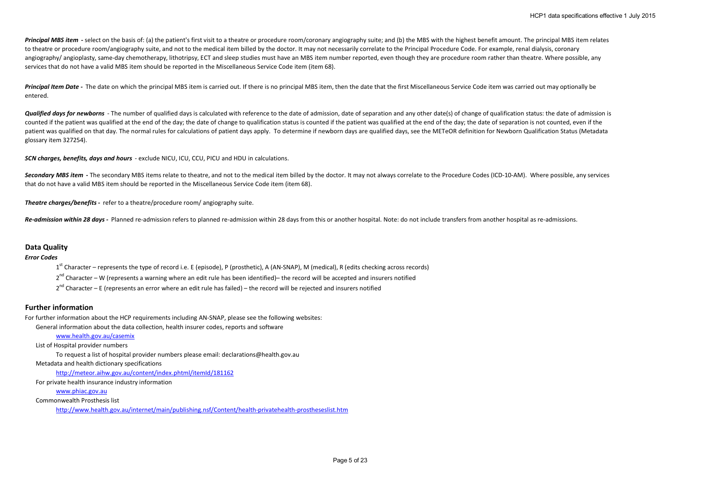Principal MBS item - select on the basis of: (a) the patient's first visit to a theatre or procedure room/coronary angiography suite; and (b) the MBS with the highest benefit amount. The principal MBS item relates to theatre or procedure room/angiography suite, and not to the medical item billed by the doctor. It may not necessarily correlate to the Principal Procedure Code. For example, renal dialysis, coronary angiography/ angioplasty, same-day chemotherapy, lithotripsy, ECT and sleep studies must have an MBS item number reported, even though they are procedure room rather than theatre. Where possible, any services that do not have a valid MBS item should be reported in the Miscellaneous Service Code item (item 68).

Principal Item Date - The date on which the principal MBS item is carried out. If there is no principal MBS item, then the date that the first Miscellaneous Service Code item was carried out may optionally be entered.

**Qualified days for newborns** - The number of qualified days is calculated with reference to the date of admission, date of separation and any other date(s) of change of qualification status: the date of admission is counted if the patient was qualified at the end of the day; the date of change to qualification status is counted if the patient was qualified at the end of the day; the date of separation is not counted, even if the patient was qualified on that day. The normal rules for calculations of patient days apply. To determine if newborn days are qualified days, see the METeOR definition for Newborn Qualification Status (Metadata glossary item 327254).

*SCN charges, benefits, days and hours* - exclude NICU, ICU, CCU, PICU and HDU in calculations.

Secondary MBS item - The secondary MBS items relate to theatre, and not to the medical item billed by the doctor. It may not always correlate to the Procedure Codes (ICD-10-AM). Where possible, any services that do not have a valid MBS item should be reported in the Miscellaneous Service Code item (item 68).

*Theatre charges/benefits -* refer to a theatre/procedure room/ angiography suite.

**Re-admission within 28 days - Planned re-admission refers to planned re-admission within 28 days from this or another hospital. Note: do not include transfers from another hospital as re-admissions.** 

### **Data Quality**

*Error Codes*

 $1<sup>st</sup>$  Character – represents the type of record i.e. E (episode), P (prosthetic), A (AN-SNAP), M (medical), R (edits checking across records)

2<sup>nd</sup> Character – W (represents a warning where an edit rule has been identified)– the record will be accepted and insurers notified

 $2<sup>nd</sup>$  Character – E (represents an error where an edit rule has failed) – the record will be rejected and insurers notified

### **Further information**

For further information about the HCP requirements including AN-SNAP, please see the following websites:

General information about the data collection, health insurer codes, reports and software

### www.health.gov.au/casemix

List of Hospital provider numbers

To request a list of hospital provider numbers please email: declarations@health.gov.au

#### Metadata and health dictionary specifications

http://meteor.aihw.gov.au/content/index.phtml/itemId/181162

For private health insurance industry information

## www.phiac.gov.au

Commonwealth Prosthesis list

http://www.health.gov.au/internet/main/publishing.nsf/Content/health-privatehealth-prostheseslist.htm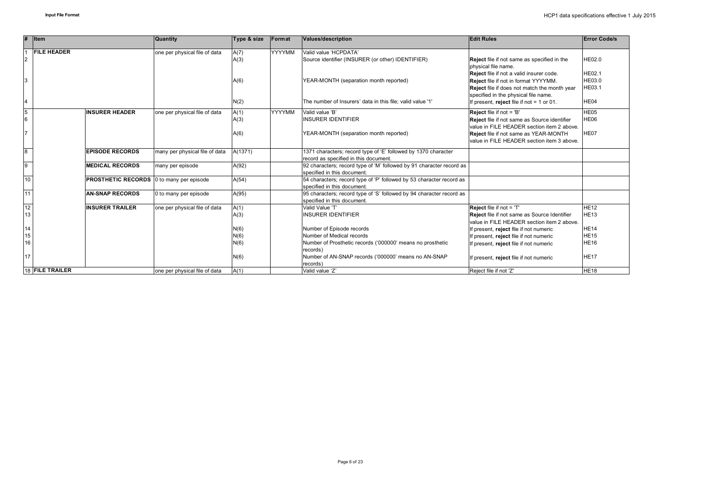| #        | <b>I</b> tem                                    | Quantity                       | Type & size | Format        | <b>Values/description</b>                                            | <b>Edit Rules</b>                                                                                 | <b>Error Code/s</b>        |
|----------|-------------------------------------------------|--------------------------------|-------------|---------------|----------------------------------------------------------------------|---------------------------------------------------------------------------------------------------|----------------------------|
|          | <b>FILE HEADER</b>                              | one per physical file of data  | A(7)        | <b>YYYYMM</b> | Valid value 'HCPDATA'                                                |                                                                                                   |                            |
| 2        |                                                 |                                | A(3)        |               | Source identifier (INSURER (or other) IDENTIFIER)                    | Reject file if not same as specified in the                                                       | HE02.0                     |
|          |                                                 |                                |             |               |                                                                      | physical file name.                                                                               |                            |
|          |                                                 |                                |             |               |                                                                      | Reject file if not a valid insurer code.                                                          | <b>HE02.1</b>              |
|          |                                                 |                                | A(6)        |               | YEAR-MONTH (separation month reported)                               | Reject file if not in format YYYYMM.                                                              | HE03.0                     |
|          |                                                 |                                |             |               |                                                                      | Reject file if does not match the month year                                                      | HE03.1                     |
|          |                                                 |                                |             |               |                                                                      | specified in the physical file name.                                                              |                            |
| 14       |                                                 |                                | N(2)        |               | The number of Insurers' data in this file: valid value '1'           | If present, reject file if not $= 1$ or 01.                                                       | HE04                       |
| 5        | <b>INSURER HEADER</b>                           | one per physical file of data  | A(1)        | <b>YYYYMM</b> | Valid value 'B'                                                      | Reject file if not = 'B'                                                                          | HE05                       |
| 16       |                                                 |                                | A(3)        |               | <b>INSURER IDENTIFIER</b>                                            | Reject file if not same as Source identifier                                                      | HE06                       |
|          |                                                 |                                |             |               |                                                                      | value in FILE HEADER section item 2 above.                                                        |                            |
|          |                                                 |                                | A(6)        |               | YEAR-MONTH (separation month reported)                               | Reject file if not same as YEAR-MONTH                                                             | HE07                       |
|          |                                                 |                                |             |               |                                                                      | value in FILE HEADER section item 3 above.                                                        |                            |
| 8        | <b>EPISODE RECORDS</b>                          | many per physical file of data | A(1371)     |               | 1371 characters; record type of 'E' followed by 1370 character       |                                                                                                   |                            |
|          |                                                 |                                |             |               | record as specified in this document.                                |                                                                                                   |                            |
| 9        | <b>MEDICAL RECORDS</b>                          | many per episode               | A(92)       |               | 92 characters; record type of 'M' followed by 91 character record as |                                                                                                   |                            |
|          |                                                 |                                |             |               | specified in this document.                                          |                                                                                                   |                            |
| 10       | <b>PROSTHETIC RECORDS</b> 0 to many per episode |                                | A(54)       |               | 54 characters; record type of 'P' followed by 53 character record as |                                                                                                   |                            |
|          |                                                 |                                |             |               | specified in this document.                                          |                                                                                                   |                            |
| 11       | <b>AN-SNAP RECORDS</b>                          | 0 to many per episode          | A(95)       |               | 95 characters; record type of 'S' followed by 94 character record as |                                                                                                   |                            |
|          |                                                 |                                |             |               | specified in this document.                                          |                                                                                                   |                            |
| 12<br>13 | <b>INSURER TRAILER</b>                          | one per physical file of data  | A(1)        |               | Valid Value 'T'<br><b>INSURER IDENTIFIER</b>                         | Reject file if not = 'T'                                                                          | <b>HE12</b><br><b>HE13</b> |
|          |                                                 |                                | A(3)        |               |                                                                      | <b>Reject</b> file if not same as Source Identifier<br>value in FILE HEADER section item 2 above. |                            |
| 14       |                                                 |                                | N(6)        |               | Number of Episode records                                            | If present, reject file if not numeric                                                            | <b>HE14</b>                |
| 15       |                                                 |                                | N(6)        |               | Number of Medical records                                            | If present, reject file if not numeric                                                            | <b>HE15</b>                |
| 16       |                                                 |                                | N(6)        |               | Number of Prosthetic records ('000000' means no prosthetic           | If present, reject file if not numeric                                                            | <b>HE16</b>                |
|          |                                                 |                                |             |               | records)                                                             |                                                                                                   |                            |
| 17       |                                                 |                                | N(6)        |               | Number of AN-SNAP records ('000000' means no AN-SNAP                 | If present, reject file if not numeric                                                            | <b>HE17</b>                |
|          |                                                 |                                |             |               | records)                                                             |                                                                                                   |                            |
|          | 18 FILE TRAILER                                 | one per physical file of data  | A(1)        |               | Valid value 'Z'                                                      | Reject file if not 'Z'                                                                            | <b>HE18</b>                |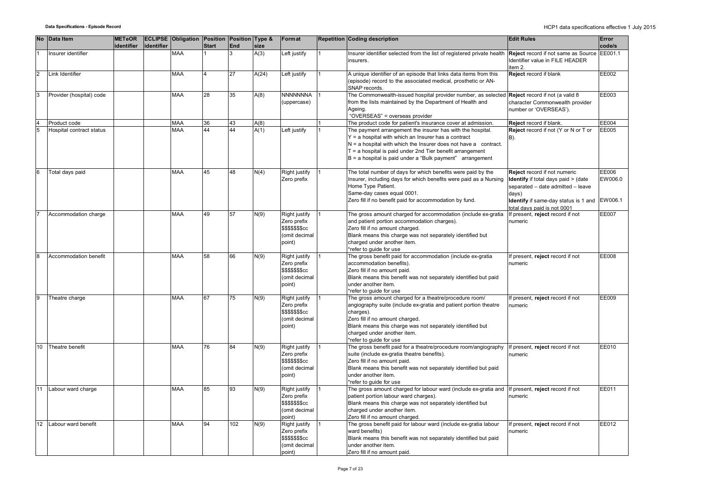|                | No Data Item             | <b>METeOR</b> |            | <b>ECLIPSE Obligation Position Position Type &amp;</b> |              |     |       | Format                                                                               | <b>Repetition Coding description</b>                                                                                                                                                                                                                                                                                   | <b>Edit Rules</b>                                                                                                                                                | Error                       |
|----------------|--------------------------|---------------|------------|--------------------------------------------------------|--------------|-----|-------|--------------------------------------------------------------------------------------|------------------------------------------------------------------------------------------------------------------------------------------------------------------------------------------------------------------------------------------------------------------------------------------------------------------------|------------------------------------------------------------------------------------------------------------------------------------------------------------------|-----------------------------|
|                |                          | identifier    | identifier |                                                        | <b>Start</b> | End | size  |                                                                                      |                                                                                                                                                                                                                                                                                                                        |                                                                                                                                                                  | code/s                      |
|                | nsurer identifier        |               |            | MAA                                                    |              |     | A(3)  | Left justify                                                                         | Insurer identifier selected from the list of registered private health<br>insurers.                                                                                                                                                                                                                                    | Reject record if not same as Source<br>Identifier value in FILE HEADER<br>item 2.                                                                                | EE001.1                     |
| $\overline{2}$ | Link Identifier          |               |            | <b>MAA</b>                                             |              | 27  | A(24) | Left justify                                                                         | A unique identifier of an episode that links data items from this<br>(episode) record to the associated medical, prosthetic or AN-<br>SNAP records.                                                                                                                                                                    | Reject record if blank                                                                                                                                           | EE002                       |
| 3              | Provider (hospital) code |               |            | <b>MAA</b>                                             | 28           | 35  | A(8)  | <b>NNNNNNNA</b>                                                                      | The Commonwealth-issued hospital provider number, as selected                                                                                                                                                                                                                                                          | Reject record if not (a valid 8                                                                                                                                  | EE003                       |
|                |                          |               |            |                                                        |              |     |       | (uppercase)                                                                          | from the lists maintained by the Department of Health and<br>Aaeina.<br>"OVERSEAS" = overseas provider                                                                                                                                                                                                                 | character Commonwealth provider<br>number or 'OVERSEAS').                                                                                                        |                             |
|                | Product code             |               |            | <b>MAA</b>                                             | 36           | 43  | A(8)  |                                                                                      | The product code for patient's insurance cover at admission.                                                                                                                                                                                                                                                           | Reject record if blank.                                                                                                                                          | EE004                       |
|                | Hospital contract status |               |            | <b>MAA</b>                                             | 44           | 44  | A(1)  | Left justify                                                                         | The payment arrangement the insurer has with the hospital.<br>$Y = a$ hospital with which an Insurer has a contract<br>$N = a$ hospital with which the Insurer does not have a contract.<br>$T = a$ hospital is paid under 2nd Tier benefit arrangement<br>$B = a$ hospital is paid under a "Bulk payment" arrangement | Reject record if not (Y or N or T or<br>B).                                                                                                                      | EE005                       |
|                | Total days paid          |               |            | MAA                                                    | 45           | 48  | N(4)  | Right justify<br>Zero prefix                                                         | The total number of days for which benefits were paid by the<br>Insurer, including days for which benefits were paid as a Nursing<br>Home Type Patient.<br>Same-day cases equal 0001.<br>Zero fill if no benefit paid for accommodation by fund.                                                                       | Reject record if not numeric<br><b>Identify</b> if total days paid > (date<br>separated - date admitted - leave<br>days)<br>Identify if same-day status is 1 and | EE006<br>EW006.0<br>EW006.1 |
|                |                          |               |            |                                                        |              |     |       |                                                                                      |                                                                                                                                                                                                                                                                                                                        | total days paid is not 0001                                                                                                                                      |                             |
|                | Accommodation charge     |               |            | <b>MAA</b>                                             | 49           | 57  | N(9)  | Right justify<br>Zero prefix<br>\$\$\$\$\$\$ <b>\$</b> cc<br>(omit decimal<br>point) | The gross amount charged for accommodation (include ex-gratia<br>and patient portion accommodation charges).<br>Zero fill if no amount charged.<br>Blank means this charge was not separately identified but<br>charged under another item.<br>*refer to quide for use                                                 | If present, reject record if not<br>numeric                                                                                                                      | EE007                       |
|                | Accommodation benefit    |               |            | <b>MAA</b>                                             | 58           | 66  | N(9)  | Right justify<br>Zero prefix<br>\$\$\$\$\$\$cc<br>(omit decimal<br>point)            | The gross benefit paid for accommodation (include ex-gratia<br>accommodation benefits).<br>Zero fill if no amount paid.<br>Blank means this benefit was not separately identified but paid<br>under another item.<br>*refer to quide for use                                                                           | If present, reject record if not<br>numeric                                                                                                                      | EE008                       |
|                | Theatre charge           |               |            | <b>MAA</b>                                             | 67           | 75  | N(9)  | Right justify<br>Zero prefix<br><b>\$\$\$\$\$\$\$cc</b><br>(omit decimal<br>point)   | The gross amount charged for a theatre/procedure room/<br>angiography suite (include ex-gratia and patient portion theatre<br>charges).<br>Zero fill if no amount charged.<br>Blank means this charge was not separately identified but<br>charged under another item.<br>*refer to quide for use                      | If present, reject record if not<br>numeric                                                                                                                      | EE009                       |
| 10             | Theatre benefit          |               |            | <b>MAA</b>                                             | 76           | 84  | N(9)  | Right justify<br>Zero prefix<br><b>\$\$\$\$\$\$\$cc</b><br>(omit decimal<br>point)   | The gross benefit paid for a theatre/procedure room/angiography<br>suite (include ex-gratia theatre benefits).<br>Zero fill if no amount paid.<br>Blank means this benefit was not separately identified but paid<br>under another item.<br>*refer to quide for use                                                    | If present, reject record if not<br>numeric                                                                                                                      | EE010                       |
|                | Labour ward charge       |               |            | MAA                                                    | 85           | 93  | N(9)  | Right justify<br>Zero prefix<br>\$\$\$\$\$\$cc<br>(omit decimal<br>point)            | The gross amount charged for labour ward (include ex-gratia and<br>patient portion labour ward charges).<br>Blank means this charge was not separately identified but<br>charged under another item.<br>Zero fill if no amount charged.                                                                                | If present, reject record if not<br>numeric                                                                                                                      | EE011                       |
| 12             | Labour ward benefit      |               |            | <b>MAA</b>                                             | 94           | 102 | N(9)  | Right justify<br>Zero prefix<br>\$\$\$\$\$\$cc<br>(omit decimal<br>point)            | The gross benefit paid for labour ward (include ex-gratia labour<br>ward benefits)<br>Blank means this benefit was not separately identified but paid<br>under another item.<br>Zero fill if no amount paid.                                                                                                           | If present, reject record if not<br>numeric                                                                                                                      | EE012                       |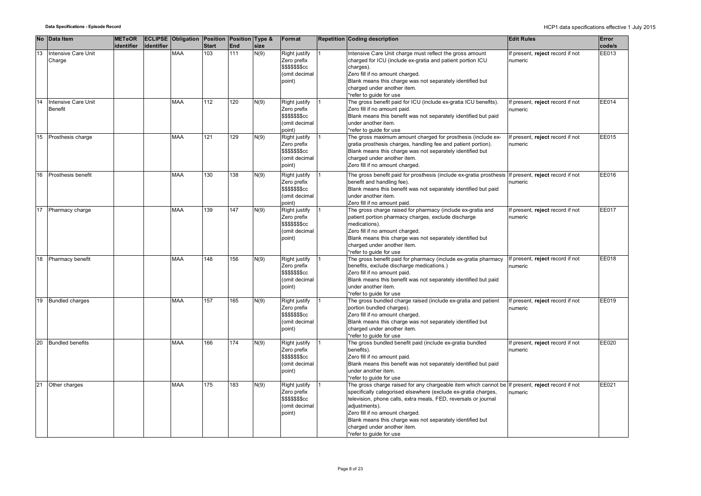|    | No Data Item                          | <b>METeOR</b> |            | <b>ECLIPSE Obligation Position Position Type &amp;</b> |              |     |      | Format                                                                             | <b>Repetition Coding description</b>                                                                                                                                                                                                                                                                                                                                            | <b>Edit Rules</b>                           | Error  |
|----|---------------------------------------|---------------|------------|--------------------------------------------------------|--------------|-----|------|------------------------------------------------------------------------------------|---------------------------------------------------------------------------------------------------------------------------------------------------------------------------------------------------------------------------------------------------------------------------------------------------------------------------------------------------------------------------------|---------------------------------------------|--------|
|    |                                       | identifier    | identifier |                                                        | <b>Start</b> | End | size |                                                                                    |                                                                                                                                                                                                                                                                                                                                                                                 |                                             | code/s |
| 13 | Intensive Care Unit<br>Charge         |               |            | <b>MAA</b>                                             | 103          | 111 | N(9) | Right justify<br>Zero prefix<br>\$\$\$\$\$\$cc<br>(omit decimal<br>point)          | Intensive Care Unit charge must reflect the gross amount<br>charged for ICU (include ex-gratia and patient portion ICU<br>charges).<br>Zero fill if no amount charged.<br>Blank means this charge was not separately identified but<br>charged under another item.<br>*refer to guide for use                                                                                   | f present, reject record if not<br>numeric  | EE013  |
| 14 | Intensive Care Unit<br><b>Benefit</b> |               |            | <b>MAA</b>                                             | 112          | 120 | N(9) | Right justify<br>Zero prefix<br>\$\$\$\$\$\$\$cc<br>(omit decimal<br>point)        | The gross benefit paid for ICU (include ex-gratia ICU benefits).<br>Zero fill if no amount paid.<br>Blank means this benefit was not separately identified but paid<br>under another item.<br>*refer to quide for use                                                                                                                                                           | f present, reject record if not<br>numeric  | EE014  |
| 15 | Prosthesis charge                     |               |            | <b>MAA</b>                                             | 121          | 129 | N(9) | Right justify<br>Zero prefix<br>\$\$\$\$\$\$\$cc<br>(omit decimal<br>point)        | The gross maximum amount charged for prosthesis (include ex-<br>gratia prosthesis charges, handling fee and patient portion).<br>Blank means this charge was not separately identified but<br>charged under another item.<br>Zero fill if no amount charged.                                                                                                                    | f present, reject record if not<br>numeric  | EE015  |
| 16 | Prosthesis benefit                    |               |            | <b>MAA</b>                                             | 130          | 138 | N(9) | Right justify<br>Zero prefix<br><b>\$\$\$\$\$\$\$cc</b><br>(omit decimal<br>point) | The gross benefit paid for prosthesis (include ex-gratia prosthesis<br>benefit and handling fee).<br>Blank means this benefit was not separately identified but paid<br>under another item.<br>Zero fill if no amount paid.                                                                                                                                                     | If present, reject record if not<br>numeric | EE016  |
| 17 | Pharmacy charge                       |               |            | <b>MAA</b>                                             | 139          | 147 | N(9) | Right justify<br>Zero prefix<br>\$\$\$\$\$\$\$cc<br>(omit decimal<br>point)        | The gross charge raised for pharmacy (include ex-gratia and<br>patient portion pharmacy charges, exclude discharge<br>medications).<br>Zero fill if no amount charged.<br>Blank means this charge was not separately identified but<br>charged under another item.<br>*refer to guide for use                                                                                   | f present, reject record if not<br>numeric  | EE017  |
| 18 | Pharmacy benefit                      |               |            | <b>MAA</b>                                             | 148          | 156 | N(9) | Right justify<br>Zero prefix<br><b>\$\$\$\$\$\$\$cc</b><br>(omit decimal<br>point) | The gross benefit paid for pharmacy (include ex-gratia pharmacy<br>benefits, exclude discharge medications.)<br>Zero fill if no amount paid.<br>Blank means this benefit was not separately identified but paid<br>under another item.<br>*refer to quide for use                                                                                                               | If present, reject record if not<br>numeric | EE018  |
| 19 | <b>Bundled charges</b>                |               |            | <b>MAA</b>                                             | 157          | 165 | N(9) | Right justify<br>Zero prefix<br>\$\$\$\$\$\$\$cc<br>(omit decimal<br>point)        | The gross bundled charge raised (include ex-gratia and patient<br>portion bundled charges).<br>Zero fill if no amount charged.<br>Blank means this charge was not separately identified but<br>charged under another item.<br>*refer to guide for use                                                                                                                           | f present, reject record if not<br>numeric  | EE019  |
| 20 | <b>Bundled benefits</b>               |               |            | <b>MAA</b>                                             | 166          | 174 | N(9) | Right justify<br>Zero prefix<br>\$\$\$\$\$\$\$cc<br>(omit decimal<br>point)        | The gross bundled benefit paid (include ex-gratia bundled<br>benefits).<br>Zero fill if no amount paid.<br>Blank means this benefit was not separately identified but paid<br>under another item.<br>*refer to guide for use                                                                                                                                                    | f present, reject record if not<br>numeric  | EE020  |
| 21 | Other charges                         |               |            | <b>MAA</b>                                             | 175          | 183 | N(9) | Right justify<br>Zero prefix<br><b>\$\$\$\$\$\$\$cc</b><br>(omit decimal<br>point) | The gross charge raised for any chargeable item which cannot be<br>specifically categorised elsewhere (exclude ex-gratia charges,<br>television, phone calls, extra meals, FED, reversals or journal<br>adjustments).<br>Zero fill if no amount charged.<br>Blank means this charge was not separately identified but<br>charged under another item.<br>*refer to guide for use | If present, reject record if not<br>numeric | EE021  |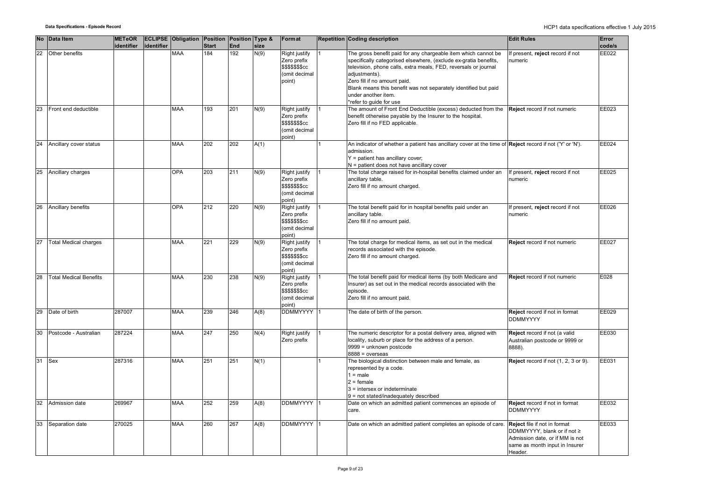|    | No Data Item                  | <b>METeOR</b><br>identifier | identifier | <b>ECLIPSE Obligation Position Position Type &amp;</b> | <b>Start</b> | End | size | Format                                                                                   | Repetition Coding description                                                                                                                                                                                                                                                                                                                                               | <b>Edit Rules</b>                                                                                                                           | Error<br>code/s |
|----|-------------------------------|-----------------------------|------------|--------------------------------------------------------|--------------|-----|------|------------------------------------------------------------------------------------------|-----------------------------------------------------------------------------------------------------------------------------------------------------------------------------------------------------------------------------------------------------------------------------------------------------------------------------------------------------------------------------|---------------------------------------------------------------------------------------------------------------------------------------------|-----------------|
| 22 | Other benefits                |                             |            | <b>MAA</b>                                             | 184          | 192 | N(9) | Right justify<br>Zero prefix<br><b>\$\$\$\$\$\$\$cc</b><br>(omit decimal<br>point)       | The gross benefit paid for any chargeable item which cannot be<br>specifically categorised elsewhere, (exclude ex-gratia benefits,<br>television, phone calls, extra meals, FED, reversals or journal<br>adjustments).<br>Zero fill if no amount paid.<br>Blank means this benefit was not separately identified but paid<br>under another item.<br>*refer to quide for use | f present, reject record if not<br>numeric                                                                                                  | EE022           |
| 23 | Front end deductible          |                             |            | <b>MAA</b>                                             | 193          | 201 | N(9) | Right justify<br>Zero prefix<br>\$\$\$\$\$\$cc<br>(omit decimal<br>(point                | The amount of Front End Deductible (excess) deducted from the<br>benefit otherwise payable by the Insurer to the hospital.<br>Zero fill if no FED applicable.                                                                                                                                                                                                               | Reject record if not numeric                                                                                                                | EE023           |
| 24 | Ancillary cover status        |                             |            | <b>MAA</b>                                             | 202          | 202 | A(1) |                                                                                          | An indicator of whether a patient has ancillary cover at the time of <b>Reject</b> record if not ('Y' or 'N').<br>admission.<br>$Y =$ patient has ancillary cover;<br>$N =$ patient does not have ancillary cover                                                                                                                                                           |                                                                                                                                             | EE024           |
| 25 | Ancillary charges             |                             |            | <b>OPA</b>                                             | 203          | 211 | N(9) | Right justify<br>Zero prefix<br>\$\$\$\$\$\$\$cc<br>(omit decimal<br>(point              | The total charge raised for in-hospital benefits claimed under an<br>ancillary table.<br>Zero fill if no amount charged.                                                                                                                                                                                                                                                    | If present, reject record if not<br>numeric                                                                                                 | EE025           |
| 26 | Ancillary benefits            |                             |            | <b>OPA</b>                                             | 212          | 220 | N(9) | Right justify<br>Zero prefix<br>\$\$\$\$\$\$cc<br>(omit decimal<br>point)                | The total benefit paid for in hospital benefits paid under an<br>ancillary table.<br>Zero fill if no amount paid.                                                                                                                                                                                                                                                           | If present, reject record if not<br>numeric                                                                                                 | EE026           |
| 27 | <b>Total Medical charges</b>  |                             |            | <b>MAA</b>                                             | 221          | 229 | N(9) | Right justify<br>Zero prefix<br>\$\$\$\$\$\$ <sub>\$</sub> cc<br>(omit decimal<br>point) | The total charge for medical items, as set out in the medical<br>records associated with the episode.<br>Zero fill if no amount charged.                                                                                                                                                                                                                                    | Reject record if not numeric                                                                                                                | <b>EE027</b>    |
| 28 | <b>Total Medical Benefits</b> |                             |            | <b>MAA</b>                                             | 230          | 238 | N(9) | Right justify<br>Zero prefix<br>\$\$\$\$\$\$cc<br>(omit decimal<br>(point                | The total benefit paid for medical items (by both Medicare and<br>Insurer) as set out in the medical records associated with the<br>episode.<br>Zero fill if no amount paid.                                                                                                                                                                                                | Reject record if not numeric                                                                                                                | E028            |
| 29 | Date of birth                 | 287007                      |            | <b>MAA</b>                                             | 239          | 246 | A(8) | DDMMYYYY                                                                                 | The date of birth of the person.                                                                                                                                                                                                                                                                                                                                            | Reject record if not in format<br><b>DDMMYYYY</b>                                                                                           | EE029           |
| 30 | Postcode - Australian         | 287224                      |            | <b>MAA</b>                                             | 247          | 250 | N(4) | Right justify<br>Zero prefix                                                             | The numeric descriptor for a postal delivery area, aligned with<br>locality, suburb or place for the address of a person.<br>9999 = unknown postcode<br>$8888 = 0$ verseas                                                                                                                                                                                                  | Reject record if not (a valid<br>Australian postcode or 9999 or<br>8888).                                                                   | EE030           |
| 31 | <b>Sex</b>                    | 287316                      |            | <b>MAA</b>                                             | 251          | 251 | N(1) |                                                                                          | The biological distinction between male and female, as<br>represented by a code.<br>$1 = male$<br>$2 =$ female<br>$3$ = intersex or indeterminate<br>9 = not stated/inadequately described                                                                                                                                                                                  | Reject record if not (1, 2, 3 or 9).                                                                                                        | EE031           |
| 32 | Admission date                | 269967                      |            | <b>MAA</b>                                             | 252          | 259 | A(8) | <b>DDMMYYYY</b>                                                                          | Date on which an admitted patient commences an episode of<br>care.                                                                                                                                                                                                                                                                                                          | Reject record if not in format<br><b>DDMMYYYY</b>                                                                                           | EE032           |
| 33 | Separation date               | 270025                      |            | MAA                                                    | 260          | 267 | A(8) | <b>DDMMYYYY</b>                                                                          | Date on which an admitted patient completes an episode of care.                                                                                                                                                                                                                                                                                                             | Reject file if not in format<br>DDMMYYYY, blank or if not ≥<br>Admission date, or if MM is not<br>same as month input in Insurer<br>Header. | EE033           |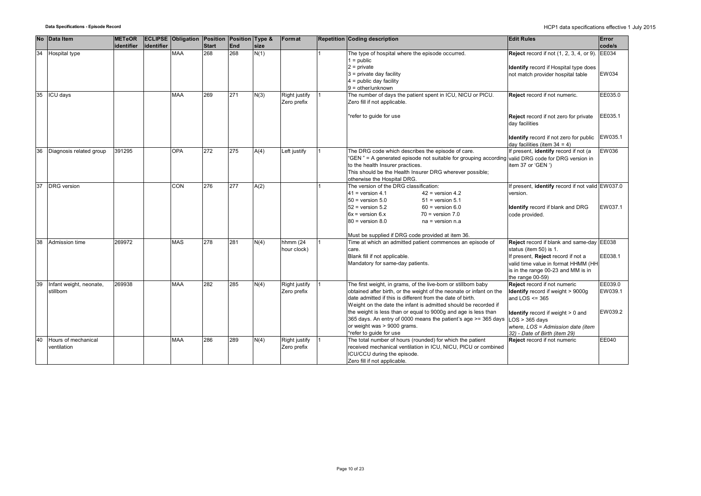| <b>No</b> | Data Item                            | <b>METeOR</b> |            | <b>ECLIPSE Obligation Position Position Type &amp;</b> |       |     |      | Format                       | <b>Repetition Coding description</b>                                                                                                                                                                                                                                                                                                                                                                                                                                 | <b>Edit Rules</b>                                                                                                                                                                                                               | Error                         |
|-----------|--------------------------------------|---------------|------------|--------------------------------------------------------|-------|-----|------|------------------------------|----------------------------------------------------------------------------------------------------------------------------------------------------------------------------------------------------------------------------------------------------------------------------------------------------------------------------------------------------------------------------------------------------------------------------------------------------------------------|---------------------------------------------------------------------------------------------------------------------------------------------------------------------------------------------------------------------------------|-------------------------------|
|           |                                      | identifier    | identifier |                                                        | Start | End | size |                              |                                                                                                                                                                                                                                                                                                                                                                                                                                                                      |                                                                                                                                                                                                                                 | code/s                        |
| 34        | Hospital type                        |               |            | <b>MAA</b>                                             | 268   | 268 | N(1) |                              | The type of hospital where the episode occurred.<br>$1 = \text{public}$<br>$2 = private$<br>$3$ = private day facility<br>$4 =$ public day facility<br>$9 =$ other/unknown                                                                                                                                                                                                                                                                                           | <b>Reject</b> record if not (1, 2, 3, 4, or 9). EE034<br>Identify record if Hospital type does<br>not match provider hospital table                                                                                             | EW034                         |
| 35        | ICU days                             |               |            | <b>MAA</b>                                             | 269   | 271 | N(3) | Right justify<br>Zero prefix | The number of days the patient spent in ICU, NICU or PICU.<br>Zero fill if not applicable.<br>*refer to guide for use                                                                                                                                                                                                                                                                                                                                                | Reject record if not numeric.<br>Reject record if not zero for private                                                                                                                                                          | EE035.0<br>EE035.1            |
|           |                                      |               |            |                                                        |       |     |      |                              |                                                                                                                                                                                                                                                                                                                                                                                                                                                                      | day facilities<br>Identify record if not zero for public<br>day facilities (item $34 = 4$ )                                                                                                                                     | EW035.1                       |
| 36        | Diagnosis related group              | 391295        |            | <b>OPA</b>                                             | 272   | 275 | A(4) | Left justify                 | The DRG code which describes the episode of care.<br>"GEN" = A generated episode not suitable for grouping according<br>to the health Insurer practices.<br>This should be the Health Insurer DRG wherever possible;<br>otherwise the Hospital DRG.                                                                                                                                                                                                                  | If present, identify record if not (a<br>valid DRG code for DRG version in<br>item 37 or 'GEN ')                                                                                                                                | <b>EW036</b>                  |
| 37        | <b>DRG</b> version                   |               |            | CON                                                    | 276   | 277 | A(2) |                              | The version of the DRG classification:<br>$41$ = version 4.1<br>$42$ = version 4.2<br>$50$ = version $5.0$<br>$51$ = version $5.1$<br>$52$ = version $5.2$<br>$60 =$ version $6.0$<br>$6x =$ version $6.x$<br>$70$ = version $7.0$<br>$80$ = version $8.0$<br>$na = version n.a$                                                                                                                                                                                     | f present, <i>identify</i> record if not valid EW037.0<br>version.<br>Identify record if blank and DRG<br>code provided.                                                                                                        | EW037.1                       |
| 38        | Admission time                       | 269972        |            | <b>MAS</b>                                             | 278   | 281 | N(4) | hhmm (24<br>hour clock)      | Must be supplied if DRG code provided at item 36.<br>Time at which an admitted patient commences an episode of<br>care.<br>Blank fill if not applicable.<br>Mandatory for same-day patients.                                                                                                                                                                                                                                                                         | Reject record if blank and same-day EE038<br>status (item 50) is 1.<br>If present, Reject record if not a<br>valid time value in format HHMM (HH<br>is in the range 00-23 and MM is in<br>the range 00-59)                      | EE038.1                       |
| 39        | Infant weight, neonate,<br>stillborn | 269938        |            | <b>MAA</b>                                             | 282   | 285 | N(4) | Right justify<br>Zero prefix | The first weight, in grams, of the live-born or stillborn baby<br>obtained after birth, or the weight of the neonate or infant on the<br>date admitted if this is different from the date of birth.<br>Weight on the date the infant is admitted should be recorded if<br>the weight is less than or equal to 9000g and age is less than<br>365 days. An entry of 0000 means the patient's age >= 365 days<br>or weight was > 9000 grams.<br>*refer to guide for use | Reject record if not numeric<br>Identify record if weight > 9000g<br>and $LOS \leq 365$<br><b>Identify</b> record if weight $> 0$ and<br>$LOS > 365$ davs<br>where, LOS = Admission date (item<br>32) - Date of Birth (item 29) | EE039.0<br>EW039.1<br>EW039.2 |
| 40        | Hours of mechanical<br>ventilation   |               |            | <b>MAA</b>                                             | 286   | 289 | N(4) | Right justify<br>Zero prefix | The total number of hours (rounded) for which the patient<br>received mechanical ventilation in ICU, NICU, PICU or combined<br>ICU/CCU during the episode.<br>Zero fill if not applicable.                                                                                                                                                                                                                                                                           | Reject record if not numeric                                                                                                                                                                                                    | EE040                         |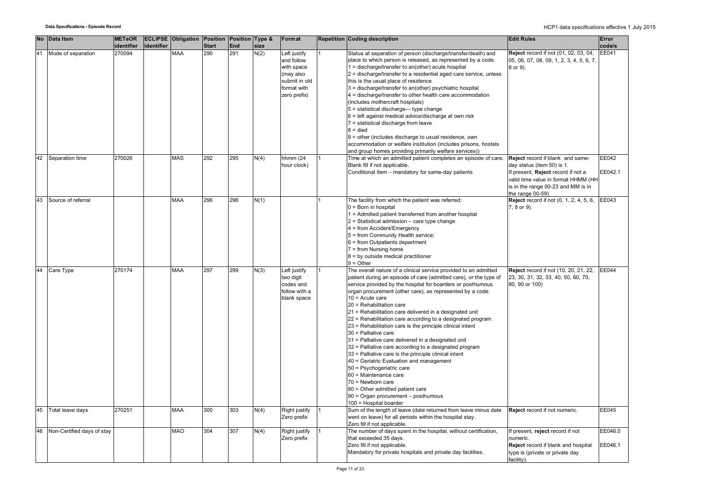|    | No Data Item               | <b>METeOR</b> |            | <b>ECLIPSE Obligation Position Position Type &amp;</b> |              |     |      | Format                                                                                | <b>Edit Rules</b><br><b>Repetition Coding description</b>                                                                                                                                                                                                                                                                                                                                                                                                                                                                                                                                                                                                                                                                                                                                                                                                                                                                                                                                                                                       | Error            |
|----|----------------------------|---------------|------------|--------------------------------------------------------|--------------|-----|------|---------------------------------------------------------------------------------------|-------------------------------------------------------------------------------------------------------------------------------------------------------------------------------------------------------------------------------------------------------------------------------------------------------------------------------------------------------------------------------------------------------------------------------------------------------------------------------------------------------------------------------------------------------------------------------------------------------------------------------------------------------------------------------------------------------------------------------------------------------------------------------------------------------------------------------------------------------------------------------------------------------------------------------------------------------------------------------------------------------------------------------------------------|------------------|
|    |                            | identifier    | identifier |                                                        | <b>Start</b> | End | size |                                                                                       |                                                                                                                                                                                                                                                                                                                                                                                                                                                                                                                                                                                                                                                                                                                                                                                                                                                                                                                                                                                                                                                 | code/s           |
|    | Mode of separation         | 270094        |            | <b>MAA</b>                                             | 290          | 291 | N(2) | Left justify<br>and follow<br>with space<br>(may also<br>submit in old<br>format with | Status at separation of person (discharge/transfer/death) and<br>Reject record if not (01, 02, 03, 04,<br>place to which person is released, as represented by a code.<br>05, 06, 07, 08, 09, 1, 2, 3, 4, 5, 6, 7,<br>1 = discharge/transfer to an(other) acute hospital<br>8 or 9).<br>2 = discharge/transfer to a residential aged care service, unless<br>this is the usual place of residence<br>3 = discharge/transfer to an(other) psychiatric hospital                                                                                                                                                                                                                                                                                                                                                                                                                                                                                                                                                                                   | <b>EE041</b>     |
|    |                            |               |            |                                                        |              |     |      | zero prefix)                                                                          | $4 =$ discharge/transfer to other health care accommodation<br>(includes mothercraft hospitals)<br>5 = statistical discharge-type change<br>6 = left against medical advice/discharge at own risk<br>7 = statistical discharge from leave<br>$8 = died$<br>9 = other (includes discharge to usual residence, own<br>accommodation or welfare institution (includes prisons, hostels                                                                                                                                                                                                                                                                                                                                                                                                                                                                                                                                                                                                                                                             |                  |
|    |                            |               |            |                                                        |              |     |      |                                                                                       | and group homes providing primarily welfare services))                                                                                                                                                                                                                                                                                                                                                                                                                                                                                                                                                                                                                                                                                                                                                                                                                                                                                                                                                                                          |                  |
|    | 42 Separation time         | 270026        |            | <b>MAS</b>                                             | 292          | 295 | N(4) | hhmm (24<br>hour clock)                                                               | Time at which an admitted patient completes an episode of care.<br>Reject record if blank and same-<br>Blank fill if not applicable.<br>day status (item 50) is 1.<br>Conditional item - mandatory for same-day patients<br>If present, Reject record if not a<br>valid time value in format HHMM (HH<br>is in the range 00-23 and MM is in                                                                                                                                                                                                                                                                                                                                                                                                                                                                                                                                                                                                                                                                                                     | EE042<br>EE042.1 |
|    |                            |               |            |                                                        |              |     |      |                                                                                       | the range 00-59)                                                                                                                                                                                                                                                                                                                                                                                                                                                                                                                                                                                                                                                                                                                                                                                                                                                                                                                                                                                                                                |                  |
| 43 | Source of referral         |               |            | <b>MAA</b>                                             | 296          | 296 | N(1) |                                                                                       | <b>Reject</b> record if not (0, 1, 2, 4, 5, 6,<br>The facility from which the patient was referred:<br>$0 = Born$ in hospital<br>7, 8 or 9).<br>1 = Admitted patient transferred from another hospital<br>$2$ = Statistical admission – care type change<br>$4 = from Accident/Energy$<br>5 = from Community Health service;<br>$6 =$ from Outpatients department<br>$7 = from Nursing home$<br>$8 = by outside medical practitioner$<br>$9 = Other$                                                                                                                                                                                                                                                                                                                                                                                                                                                                                                                                                                                            | EE043            |
|    | 44 Care Type               | 270174        |            | <b>MAA</b>                                             | 297          | 299 | N(3) | Left justify<br>two digit<br>codes and<br>follow with a<br>blank space                | The overall nature of a clinical service provided to an admitted<br><b>Reject</b> record if not (10, 20, 21, 22,<br>23, 30, 31, 32, 33, 40, 50, 60, 70,<br>patient during an episode of care (admitted care), or the type of<br>service provided by the hospital for boarders or posthumous<br>80, 90 or 100)<br>organ procurement (other care), as represented by a code.<br>$10 =$ Acute care<br>20 = Rehabilitation care<br>21 = Rehabilitation care delivered in a designated unit<br>22 = Rehabilitation care according to a designated program<br>23 = Rehabilitation care is the principle clinical intent<br>30 = Palliative care<br>31 = Palliative care delivered in a designated unit<br>32 = Palliative care according to a designated program<br>33 = Palliative care is the principle clinical intent<br>40 = Geriatric Evaluation and management<br>50 = Psychogeriatric care<br>60 = Maintenance care<br>70 = Newborn care<br>80 = Other admitted patient care<br>90 = Organ procurement - posthumous<br>100 = Hospital boarder | EE044            |
|    | 45 Total leave days        | 270251        |            | <b>MAA</b>                                             | 300          | 303 | N(4) | Right justify<br>Zero prefix                                                          | Sum of the length of leave (date returned from leave minus date<br>Reject record if not numeric.<br>went on leave) for all periods within the hospital stay.                                                                                                                                                                                                                                                                                                                                                                                                                                                                                                                                                                                                                                                                                                                                                                                                                                                                                    | EE045            |
| 46 | Non-Certified days of stay |               |            | <b>MAO</b>                                             | 304          | 307 | N(4) | Right justify                                                                         | Zero fill if not applicable.<br>The number of days spent in the hospital, without certification,<br>If present, reject record if not                                                                                                                                                                                                                                                                                                                                                                                                                                                                                                                                                                                                                                                                                                                                                                                                                                                                                                            | EE046.0          |
|    |                            |               |            |                                                        |              |     |      | Zero prefix                                                                           | that exceeded 35 days.<br>numeric.<br>Zero fill if not applicable.<br>Reject record if blank and hospital<br>Mandatory for private hospitals and private day facilities.<br>type is (private or private day<br>facility).                                                                                                                                                                                                                                                                                                                                                                                                                                                                                                                                                                                                                                                                                                                                                                                                                       | EE046.1          |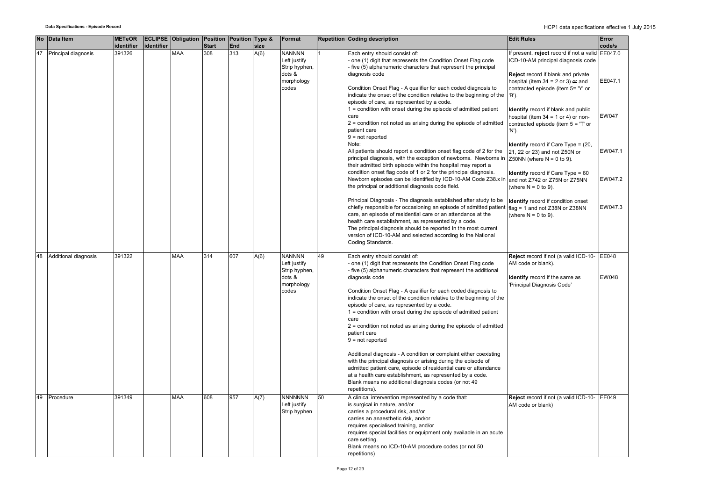|    | No Data Item         | <b>METeOR</b> |            | <b>ECLIPSE Obligation Position Position Type &amp;</b> |              |     |      | Format         |    | <b>Repetition Coding description</b>                                                | <b>Edit Rules</b>                                | Error        |
|----|----------------------|---------------|------------|--------------------------------------------------------|--------------|-----|------|----------------|----|-------------------------------------------------------------------------------------|--------------------------------------------------|--------------|
|    |                      | identifier    | identifier |                                                        | <b>Start</b> | End | size |                |    |                                                                                     |                                                  | code/s       |
| 47 | Principal diagnosis  | 391326        |            | <b>MAA</b>                                             | 308          | 313 | A(6) | <b>NANNNN</b>  |    | Each entry should consist of:                                                       | If present, reject record if not a valid EE047.0 |              |
|    |                      |               |            |                                                        |              |     |      | Left justify   |    | one (1) digit that represents the Condition Onset Flag code                         | ICD-10-AM principal diagnosis code               |              |
|    |                      |               |            |                                                        |              |     |      | Strip hyphen,  |    | five (5) alphanumeric characters that represent the principal                       |                                                  |              |
|    |                      |               |            |                                                        |              |     |      | dots &         |    | diagnosis code                                                                      | <b>Reject</b> record if blank and private        |              |
|    |                      |               |            |                                                        |              |     |      | morphology     |    |                                                                                     | hospital (item $34 = 2$ or 3) or and             | EE047.1      |
|    |                      |               |            |                                                        |              |     |      | codes          |    | Condition Onset Flag - A qualifier for each coded diagnosis to                      | contracted episode (item 5= 'Y' or               |              |
|    |                      |               |            |                                                        |              |     |      |                |    | indicate the onset of the condition relative to the beginning of the                | 'B').                                            |              |
|    |                      |               |            |                                                        |              |     |      |                |    | episode of care, as represented by a code.                                          |                                                  |              |
|    |                      |               |            |                                                        |              |     |      |                |    | 1 = condition with onset during the episode of admitted patient                     | Identify record if blank and public              |              |
|    |                      |               |            |                                                        |              |     |      |                |    | care                                                                                | hospital (item $34 = 1$ or 4) or non-            | <b>EW047</b> |
|    |                      |               |            |                                                        |              |     |      |                |    | $2$ = condition not noted as arising during the episode of admitted                 | contracted episode (item $5 = T$ or              |              |
|    |                      |               |            |                                                        |              |     |      |                |    | patient care                                                                        | 'N').                                            |              |
|    |                      |               |            |                                                        |              |     |      |                |    | $9 = not reported$                                                                  |                                                  |              |
|    |                      |               |            |                                                        |              |     |      |                |    | Note:                                                                               | <b>Identify</b> record if Care Type = $(20, 10)$ |              |
|    |                      |               |            |                                                        |              |     |      |                |    | All patients should report a condition onset flag code of 2 for the                 | 21, 22 or 23) and not Z50N or                    | EW047.1      |
|    |                      |               |            |                                                        |              |     |      |                |    | principal diagnosis, with the exception of newborns. Newborns in                    | Z50NN (where $N = 0$ to 9).                      |              |
|    |                      |               |            |                                                        |              |     |      |                |    | their admitted birth episode within the hospital may report a                       |                                                  |              |
|    |                      |               |            |                                                        |              |     |      |                |    | condition onset flag code of 1 or 2 for the principal diagnosis.                    | <b>Identify</b> record if Care Type = 60         |              |
|    |                      |               |            |                                                        |              |     |      |                |    | Newborn episodes can be identified by ICD-10-AM Code Z38.x in                       | and not Z742 or Z75N or Z75NN                    | EW047.2      |
|    |                      |               |            |                                                        |              |     |      |                |    | the principal or additional diagnosis code field.                                   | (where $N = 0$ to 9).                            |              |
|    |                      |               |            |                                                        |              |     |      |                |    | Principal Diagnosis - The diagnosis established after study to be                   |                                                  |              |
|    |                      |               |            |                                                        |              |     |      |                |    | chiefly responsible for occasioning an episode of admitted patient                  | Identify record if condition onset               | EW047.3      |
|    |                      |               |            |                                                        |              |     |      |                |    | care, an episode of residential care or an attendance at the                        | flag = 1 and not Z38N or Z38NN                   |              |
|    |                      |               |            |                                                        |              |     |      |                |    | health care establishment, as represented by a code.                                | (where $N = 0$ to 9).                            |              |
|    |                      |               |            |                                                        |              |     |      |                |    | The principal diagnosis should be reported in the most current                      |                                                  |              |
|    |                      |               |            |                                                        |              |     |      |                |    | version of ICD-10-AM and selected according to the National                         |                                                  |              |
|    |                      |               |            |                                                        |              |     |      |                |    | Coding Standards.                                                                   |                                                  |              |
|    |                      |               |            |                                                        |              |     |      |                |    |                                                                                     |                                                  |              |
| 48 | Additional diagnosis | 391322        |            | <b>MAA</b>                                             | 314          | 607 | A(6) | <b>NANNNN</b>  | 49 | Each entry should consist of:                                                       | Reject record if not (a valid ICD-10- EE048      |              |
|    |                      |               |            |                                                        |              |     |      | Left justify   |    | one (1) digit that represents the Condition Onset Flag code                         | AM code or blank).                               |              |
|    |                      |               |            |                                                        |              |     |      | Strip hyphen,  |    | five (5) alphanumeric characters that represent the additional                      |                                                  |              |
|    |                      |               |            |                                                        |              |     |      | dots &         |    | diagnosis code                                                                      | Identify record if the same as                   | EW048        |
|    |                      |               |            |                                                        |              |     |      | morphology     |    |                                                                                     | 'Principal Diagnosis Code'                       |              |
|    |                      |               |            |                                                        |              |     |      | codes          |    | Condition Onset Flag - A qualifier for each coded diagnosis to                      |                                                  |              |
|    |                      |               |            |                                                        |              |     |      |                |    | indicate the onset of the condition relative to the beginning of the                |                                                  |              |
|    |                      |               |            |                                                        |              |     |      |                |    | episode of care, as represented by a code.                                          |                                                  |              |
|    |                      |               |            |                                                        |              |     |      |                |    | $1 =$ condition with onset during the episode of admitted patient                   |                                                  |              |
|    |                      |               |            |                                                        |              |     |      |                |    | care                                                                                |                                                  |              |
|    |                      |               |            |                                                        |              |     |      |                |    | $2$ = condition not noted as arising during the episode of admitted<br>patient care |                                                  |              |
|    |                      |               |            |                                                        |              |     |      |                |    | $9 = not reported$                                                                  |                                                  |              |
|    |                      |               |            |                                                        |              |     |      |                |    |                                                                                     |                                                  |              |
|    |                      |               |            |                                                        |              |     |      |                |    | Additional diagnosis - A condition or complaint either coexisting                   |                                                  |              |
|    |                      |               |            |                                                        |              |     |      |                |    | with the principal diagnosis or arising during the episode of                       |                                                  |              |
|    |                      |               |            |                                                        |              |     |      |                |    | admitted patient care, episode of residential care or attendance                    |                                                  |              |
|    |                      |               |            |                                                        |              |     |      |                |    | at a health care establishment, as represented by a code.                           |                                                  |              |
|    |                      |               |            |                                                        |              |     |      |                |    | Blank means no additional diagnosis codes (or not 49                                |                                                  |              |
|    |                      |               |            |                                                        |              |     |      |                |    | repetitions).                                                                       |                                                  |              |
| 49 | Procedure            | 391349        |            | <b>MAA</b>                                             | 608          | 957 | A(7) | <b>NNNNNNN</b> | 50 | A clinical intervention represented by a code that:                                 | Reject record if not (a valid ICD-10-            | EE049        |
|    |                      |               |            |                                                        |              |     |      | Left justify   |    | is surgical in nature, and/or                                                       | AM code or blank)                                |              |
|    |                      |               |            |                                                        |              |     |      | Strip hyphen   |    | carries a procedural risk, and/or                                                   |                                                  |              |
|    |                      |               |            |                                                        |              |     |      |                |    | carries an anaesthetic risk, and/or                                                 |                                                  |              |
|    |                      |               |            |                                                        |              |     |      |                |    | requires specialised training, and/or                                               |                                                  |              |
|    |                      |               |            |                                                        |              |     |      |                |    | requires special facilities or equipment only available in an acute                 |                                                  |              |
|    |                      |               |            |                                                        |              |     |      |                |    | care setting.                                                                       |                                                  |              |
|    |                      |               |            |                                                        |              |     |      |                |    | Blank means no ICD-10-AM procedure codes (or not 50                                 |                                                  |              |
|    |                      |               |            |                                                        |              |     |      |                |    | repetitions)                                                                        |                                                  |              |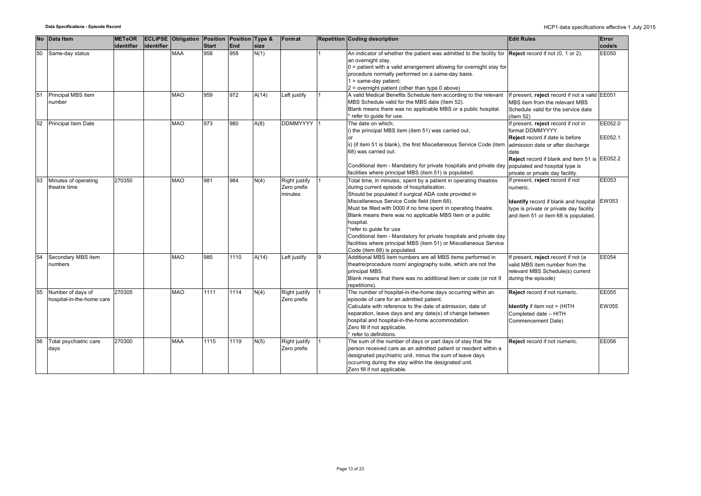|    |    | No Data Item                                   | <b>METeOR</b> |            | <b>ECLIPSE Obligation Position Position Type &amp;</b> |              |      |       | Format                                  |   | Repetition Coding description                                                                                                                                                                                                                                                                                                                                                                                                                                                                                                                                           | <b>Edit Rules</b>                                                                                                                                                                                                                                              | Error                 |
|----|----|------------------------------------------------|---------------|------------|--------------------------------------------------------|--------------|------|-------|-----------------------------------------|---|-------------------------------------------------------------------------------------------------------------------------------------------------------------------------------------------------------------------------------------------------------------------------------------------------------------------------------------------------------------------------------------------------------------------------------------------------------------------------------------------------------------------------------------------------------------------------|----------------------------------------------------------------------------------------------------------------------------------------------------------------------------------------------------------------------------------------------------------------|-----------------------|
|    |    |                                                | identifier    | identifier |                                                        | <b>Start</b> | End  | size  |                                         |   |                                                                                                                                                                                                                                                                                                                                                                                                                                                                                                                                                                         |                                                                                                                                                                                                                                                                | code/s                |
| 50 |    | Same-day status                                |               |            | <b>MAA</b>                                             | 958          | 958  | N(1)  |                                         |   | An indicator of whether the patient was admitted to the facility for $\left $ Reject record if not (0, 1 or 2).<br>an overnight stay.<br>$0$ = patient with a valid arrangement allowing for overnight stay for<br>procedure normally performed on a same-day basis.<br>$1 = same-day patient$ ;<br>2 = overnight patient (other than type 0 above)                                                                                                                                                                                                                     |                                                                                                                                                                                                                                                                | EE050                 |
| 51 |    | Principal MBS item<br>number                   |               |            | <b>MAO</b>                                             | 959          | 972  | A(14) | Left justify                            |   | A valid Medical Benefits Schedule item according to the relevant<br>MBS Schedule valid for the MBS date (Item 52).<br>Blank means there was no applicable MBS or a public hospital.<br>refer to quide for use.                                                                                                                                                                                                                                                                                                                                                          | If present, reject record if not a valid EE051<br>MBS item from the relevant MBS<br>Schedule valid for the service date<br>(Item $52$ )                                                                                                                        |                       |
| 52 |    | Principal Item Date                            |               |            | <b>MAO</b>                                             | 973          | 980  | A(8)  | DDMMYYYY 1                              |   | The date on which;<br>i) the principal MBS item (item 51) was carried out,<br>ii) (if item 51 is blank), the first Miscellaneous Service Code (item<br>68) was carried out.<br>Conditional item - Mandatory for private hospitals and private day<br>facilities where principal MBS (item 51) is populated.                                                                                                                                                                                                                                                             | If present, reject record if not in<br>format DDMMYYYY.<br>Reject record if date is before<br>admission date or after discharge<br>date<br>Reject record if blank and item 51 is EE052.2<br>populated and hospital type is<br>private or private day facility. | EE052.0<br>EE052.1    |
| 53 |    | Minutes of operating<br>theatre time           | 270350        |            | <b>MAO</b>                                             | 981          | 984  | N(4)  | Right justify<br>Zero prefix<br>minutes |   | Total time, in minutes, spent by a patient in operating theatres<br>during current episode of hospitalisation.<br>Should be populated if surgical ADA code provided in<br>Miscellaneous Service Code field (item 68).<br>Must be filled with 0000 if no time spent in operating theatre.<br>Blank means there was no applicable MBS Item or a public<br>hospital.<br>*refer to quide for use<br>Conditional item - Mandatory for private hospitals and private day<br>facilities where principal MBS (item 51) or Miscellaneous Service<br>Code (item 68) is populated. | If present, reject record if not<br>numeric.<br>Identify record if blank and hospital EW053<br>type is private or private day facility<br>and item 51 or item 68 is populated.                                                                                 | EE053                 |
| 54 |    | Secondary MBS item<br>numbers                  |               |            | <b>MAO</b>                                             | 985          | 1110 | A(14) | Left justify                            | 9 | Additional MBS item numbers are all MBS items performed in<br>theatre/procedure room/ angiography suite, which are not the<br>principal MBS.<br>Blank means that there was no additional item or code (or not 9<br>repetitions).                                                                                                                                                                                                                                                                                                                                        | f present, reject record if not (a<br>valid MBS item number from the<br>relevant MBS Schedule(s) current<br>during the episode)                                                                                                                                | EE054                 |
|    | 55 | Number of days of<br>hospital-in-the-home care | 270305        |            | <b>MAO</b>                                             | 1111         | 1114 | N(4)  | Right justify<br>Zero prefix            |   | The number of hospital-in-the-home days occurring within an<br>episode of care for an admitted patient.<br>Calculate with reference to the date of admission, date of<br>separation, leave days and any date(s) of change between<br>hospital and hospital-in-the-home accommodation.<br>Zero fill if not applicable.<br>refer to definitions.                                                                                                                                                                                                                          | Reject record if not numeric.<br><b>Identify</b> if item not $=$ (HITH<br>Completed date - HITH<br>Commencement Date)                                                                                                                                          | <b>EE055</b><br>EW055 |
|    | 56 | Total psychiatric care<br>days                 | 270300        |            | <b>MAA</b>                                             | 1115         | 1119 | N(5)  | Right justify<br>Zero prefix            |   | The sum of the number of days or part days of stay that the<br>person received care as an admitted patient or resident within a<br>designated psychiatric unit, minus the sum of leave days<br>occurring during the stay within the designated unit.<br>Zero fill if not applicable.                                                                                                                                                                                                                                                                                    | Reject record if not numeric.                                                                                                                                                                                                                                  | EE056                 |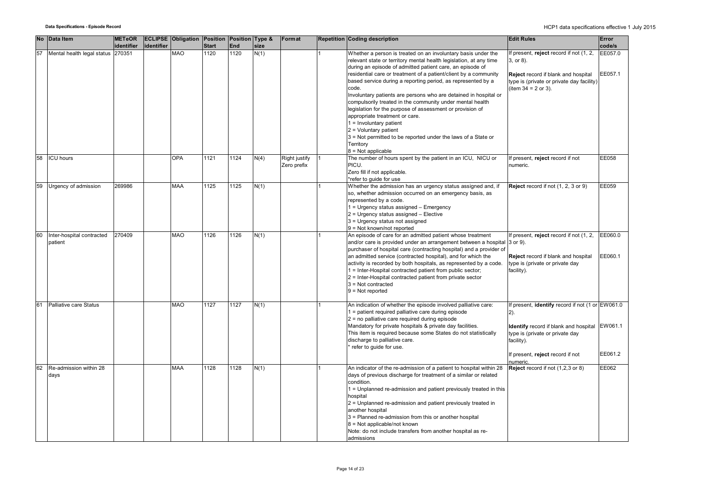|    | No Data Item                         | <b>METeOR</b><br>identifier | identifier | ECLIPSE Obligation Position Position Type & | <b>Start</b> | End  | size | Format                       | <b>Repetition Coding description</b>                                                                                                                                                                                                                                                                                                                                                                                                                                                                                                                                                                                                                                                                                                        | <b>Edit Rules</b>                                                                                                                                                                                                  | Error<br>code/s    |
|----|--------------------------------------|-----------------------------|------------|---------------------------------------------|--------------|------|------|------------------------------|---------------------------------------------------------------------------------------------------------------------------------------------------------------------------------------------------------------------------------------------------------------------------------------------------------------------------------------------------------------------------------------------------------------------------------------------------------------------------------------------------------------------------------------------------------------------------------------------------------------------------------------------------------------------------------------------------------------------------------------------|--------------------------------------------------------------------------------------------------------------------------------------------------------------------------------------------------------------------|--------------------|
| 57 | Mental health legal status 270351    |                             |            | <b>MAO</b>                                  | 1120         | 1120 | N(1) |                              | Whether a person is treated on an involuntary basis under the<br>relevant state or territory mental health legislation, at any time<br>during an episode of admitted patient care, an episode of<br>residential care or treatment of a patient/client by a community<br>based service during a reporting period, as represented by a<br>code.<br>Involuntary patients are persons who are detained in hospital or<br>compulsorily treated in the community under mental health<br>legislation for the purpose of assessment or provision of<br>appropriate treatment or care.<br>$1 =$ Involuntary patient<br>$2$ = Voluntary patient<br>3 = Not permitted to be reported under the laws of a State or<br>Territory<br>$8 = Not applicable$ | If present, reject record if not (1, 2,<br>3, or 8).<br>Reject record if blank and hospital<br>type is (private or private day facility)<br>(item $34 = 2$ or 3).                                                  | EE057.0<br>EE057.1 |
| 58 | <b>ICU</b> hours                     |                             |            | OPA                                         | 1121         | 1124 | N(4) | Right justify<br>Zero prefix | The number of hours spent by the patient in an ICU, NICU or<br>PICU.<br>Zero fill if not applicable.<br>*refer to guide for use                                                                                                                                                                                                                                                                                                                                                                                                                                                                                                                                                                                                             | If present, reject record if not<br>numeric.                                                                                                                                                                       | EE058              |
| 59 | Urgency of admission                 | 269986                      |            | <b>MAA</b>                                  | 1125         | 1125 | N(1) |                              | Whether the admission has an urgency status assigned and, if<br>so, whether admission occurred on an emergency basis, as<br>represented by a code.<br>1 = Urgency status assigned - Emergency<br>2 = Urgency status assigned - Elective<br>3 = Urgency status not assigned<br>9 = Not known/not reported                                                                                                                                                                                                                                                                                                                                                                                                                                    | Reject record if not (1, 2, 3 or 9)                                                                                                                                                                                | EE059              |
| 60 | Inter-hospital contracted<br>patient | 270409                      |            | <b>MAO</b>                                  | 1126         | 1126 | N(1) |                              | An episode of care for an admitted patient whose treatment<br>and/or care is provided under an arrangement between a hospital 3 or 9).<br>purchaser of hospital care (contracting hospital) and a provider of<br>an admitted service (contracted hospital), and for which the<br>activity is recorded by both hospitals, as represented by a code.<br>1 = Inter-Hospital contracted patient from public sector;<br>2 = Inter-Hospital contracted patient from private sector<br>$3$ = Not contracted<br>$9 = Not reported$                                                                                                                                                                                                                  | If present, reject record if not (1, 2,<br>Reject record if blank and hospital<br>type is (private or private day<br>facility).                                                                                    | EE060.0<br>EE060.1 |
| 61 | Palliative care Status               |                             |            | <b>MAO</b>                                  | 1127         | 1127 | N(1) |                              | An indication of whether the episode involved palliative care:<br>1 = patient required palliative care during episode<br>2 = no palliative care required during episode<br>Mandatory for private hospitals & private day facilities.<br>This item is required because some States do not statistically<br>discharge to palliative care.<br>refer to guide for use.                                                                                                                                                                                                                                                                                                                                                                          | If present, identify record if not (1 or EW061.0<br>$2)$ .<br><b>Identify</b> record if blank and hospital EW061.1<br>type is (private or private day<br>facility).<br>If present, reject record if not<br>numeric | EE061.2            |
| 62 | Re-admission within 28<br>days       |                             |            | <b>MAA</b>                                  | 1128         | 1128 | N(1) |                              | An indicator of the re-admission of a patient to hospital within 28<br>days of previous discharge for treatment of a similar or related<br>condition.<br>1 = Unplanned re-admission and patient previously treated in this<br>hospital<br>2 = Unplanned re-admission and patient previously treated in<br>another hospital<br>3 = Planned re-admission from this or another hospital<br>8 = Not applicable/not known<br>Note: do not include transfers from another hospital as re-<br>admissions                                                                                                                                                                                                                                           | Reject record if not (1,2,3 or 8)                                                                                                                                                                                  | EE062              |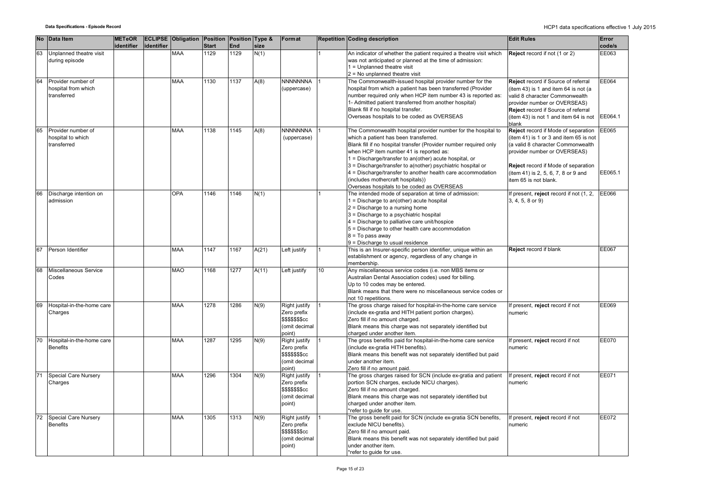|    | No Data Item                              | <b>METeOR</b> |            | <b>ECLIPSE Obligation Position</b> |              | Position Type & |       | Format                          |                 | <b>Repetition Coding description</b>                                                                                         | <b>Edit Rules</b>                                              | Error   |
|----|-------------------------------------------|---------------|------------|------------------------------------|--------------|-----------------|-------|---------------------------------|-----------------|------------------------------------------------------------------------------------------------------------------------------|----------------------------------------------------------------|---------|
|    |                                           | identifier    | identifier |                                    | <b>Start</b> | End             | size  |                                 |                 |                                                                                                                              |                                                                | code/s  |
| 63 | Unplanned theatre visit                   |               |            | <b>MAA</b>                         | 1129         | 1129            | N(1)  |                                 |                 | An indicator of whether the patient required a theatre visit which                                                           | Reject record if not (1 or 2)                                  | EE063   |
|    | during episode                            |               |            |                                    |              |                 |       |                                 |                 | was not anticipated or planned at the time of admission:                                                                     |                                                                |         |
|    |                                           |               |            |                                    |              |                 |       |                                 |                 | $1 =$ Unplanned theatre visit                                                                                                |                                                                |         |
|    |                                           |               |            |                                    |              |                 |       |                                 |                 | $2 = No$ unplanned theatre visit                                                                                             |                                                                |         |
| 64 | Provider number of<br>hospital from which |               |            | <b>MAA</b>                         | 1130         | 1137            | A(8)  | <b>NNNNNNNA</b>                 |                 | The Commonwealth-issued hospital provider number for the                                                                     | Reject record if Source of referral                            | EE064   |
|    | transferred                               |               |            |                                    |              |                 |       | (uppercase)                     |                 | hospital from which a patient has been transferred (Provider<br>number required only when HCP item number 43 is reported as: | (item 43) is 1 and item 64 is not (a                           |         |
|    |                                           |               |            |                                    |              |                 |       |                                 |                 | 1- Admitted patient transferred from another hospital)                                                                       | valid 8 character Commonwealth<br>provider number or OVERSEAS) |         |
|    |                                           |               |            |                                    |              |                 |       |                                 |                 | Blank fill if no hospital transfer.                                                                                          | Reject record if Source of referral                            |         |
|    |                                           |               |            |                                    |              |                 |       |                                 |                 | Overseas hospitals to be coded as OVERSEAS                                                                                   | (item 43) is not 1 and item 64 is not                          | EE064.1 |
|    |                                           |               |            |                                    |              |                 |       |                                 |                 |                                                                                                                              | blank                                                          |         |
| 65 | Provider number of                        |               |            | <b>MAA</b>                         | 1138         | 1145            | A(8)  | NNNNNNNA                        |                 | The Commonwealth hospital provider number for the hospital to                                                                | Reject record if Mode of separation                            | EE065   |
|    | hospital to which                         |               |            |                                    |              |                 |       | (uppercase)                     |                 | which a patient has been transferred.                                                                                        | (item 41) is 1 or 3 and item 65 is not                         |         |
|    | transferred                               |               |            |                                    |              |                 |       |                                 |                 | Blank fill if no hospital transfer (Provider number required only                                                            | (a valid 8 character Commonwealth                              |         |
|    |                                           |               |            |                                    |              |                 |       |                                 |                 | when HCP item number 41 is reported as:                                                                                      | provider number or OVERSEAS)                                   |         |
|    |                                           |               |            |                                    |              |                 |       |                                 |                 | 1 = Discharge/transfer to an(other) acute hospital, or                                                                       |                                                                |         |
|    |                                           |               |            |                                    |              |                 |       |                                 |                 | 3 = Discharge/transfer to a(nother) psychiatric hospital or                                                                  | Reject record if Mode of separation                            |         |
|    |                                           |               |            |                                    |              |                 |       |                                 |                 | 4 = Discharge/transfer to another health care accommodation                                                                  | (item 41) is 2, 5, 6, 7, 8 or 9 and                            | EE065.1 |
|    |                                           |               |            |                                    |              |                 |       |                                 |                 | (includes mothercraft hospitals))                                                                                            | item 65 is not blank.                                          |         |
|    |                                           |               |            |                                    |              |                 |       |                                 |                 | Overseas hospitals to be coded as OVERSEAS                                                                                   |                                                                |         |
| 66 | Discharge intention on                    |               |            | OPA                                | 1146         | 1146            | N(1)  |                                 |                 | The intended mode of separation at time of admission:                                                                        | f present, reject record if not (1, 2,                         | EE066   |
|    | admission                                 |               |            |                                    |              |                 |       |                                 |                 | 1 = Discharge to an(other) acute hospital                                                                                    | 3, 4, 5, 8 or 9)                                               |         |
|    |                                           |               |            |                                    |              |                 |       |                                 |                 | $2$ = Discharge to a nursing home                                                                                            |                                                                |         |
|    |                                           |               |            |                                    |              |                 |       |                                 |                 | 3 = Discharge to a psychiatric hospital                                                                                      |                                                                |         |
|    |                                           |               |            |                                    |              |                 |       |                                 |                 | 4 = Discharge to palliative care unit/hospice                                                                                |                                                                |         |
|    |                                           |               |            |                                    |              |                 |       |                                 |                 | 5 = Discharge to other health care accommodation                                                                             |                                                                |         |
|    |                                           |               |            |                                    |              |                 |       |                                 |                 | $8 = To pass away$                                                                                                           |                                                                |         |
|    |                                           |               |            |                                    |              |                 |       |                                 |                 | $9$ = Discharge to usual residence                                                                                           |                                                                |         |
| 67 | Person Identifier                         |               |            | <b>MAA</b>                         | 1147         | 1167            | A(21) | Left justify                    |                 | This is an Insurer-specific person identifier, unique within an                                                              | Reject record if blank                                         | EE067   |
|    |                                           |               |            |                                    |              |                 |       |                                 |                 | establishment or agency, regardless of any change in<br>membership.                                                          |                                                                |         |
| 68 | Miscellaneous Service                     |               |            | <b>MAO</b>                         | 1168         | 1277            | A(11) | Left justify                    | 10 <sup>1</sup> | Any miscellaneous service codes (i.e. non MBS items or                                                                       |                                                                |         |
|    | Codes                                     |               |            |                                    |              |                 |       |                                 |                 | Australian Dental Association codes) used for billing.                                                                       |                                                                |         |
|    |                                           |               |            |                                    |              |                 |       |                                 |                 | Up to 10 codes may be entered.                                                                                               |                                                                |         |
|    |                                           |               |            |                                    |              |                 |       |                                 |                 | Blank means that there were no miscellaneous service codes or                                                                |                                                                |         |
|    |                                           |               |            |                                    |              |                 |       |                                 |                 | not 10 repetitions.                                                                                                          |                                                                |         |
| 69 | Hospital-in-the-home care                 |               |            | <b>MAA</b>                         | 1278         | 1286            | N(9)  | Right justify                   |                 | The gross charge raised for hospital-in-the-home care service                                                                | f present, reject record if not                                | EE069   |
|    | Charges                                   |               |            |                                    |              |                 |       | Zero prefix                     |                 | (include ex-gratia and HITH patient portion charges).                                                                        | numeric                                                        |         |
|    |                                           |               |            |                                    |              |                 |       | <b>\$\$\$\$\$\$\$cc</b>         |                 | Zero fill if no amount charged.                                                                                              |                                                                |         |
|    |                                           |               |            |                                    |              |                 |       | (omit decimal                   |                 | Blank means this charge was not separately identified but                                                                    |                                                                |         |
|    |                                           |               |            |                                    |              |                 |       | point)                          |                 | charged under another item.                                                                                                  |                                                                |         |
| 70 | Hospital-in-the-home care                 |               |            | <b>MAA</b>                         | 1287         | 1295            | N(9)  | Right justify                   |                 | The gross benefits paid for hospital-in-the-home care service                                                                | f present, reject record if not                                | EE070   |
|    | <b>Benefits</b>                           |               |            |                                    |              |                 |       | Zero prefix                     |                 | (include ex-gratia HITH benefits).                                                                                           | numeric                                                        |         |
|    |                                           |               |            |                                    |              |                 |       | \$\$\$\$\$\$\$cc                |                 | Blank means this benefit was not separately identified but paid                                                              |                                                                |         |
|    |                                           |               |            |                                    |              |                 |       | (omit decimal                   |                 | under another item.                                                                                                          |                                                                |         |
|    |                                           |               |            |                                    |              |                 |       | point)                          |                 | Zero fill if no amount paid.                                                                                                 |                                                                |         |
| 71 | Special Care Nursery                      |               |            | <b>MAA</b>                         | 1296         | 1304            | N(9)  | Right justify                   |                 | The gross charges raised for SCN (include ex-gratia and patient                                                              | If present, reject record if not                               | EE071   |
|    | Charges                                   |               |            |                                    |              |                 |       | Zero prefix                     |                 | portion SCN charges, exclude NICU charges).                                                                                  | numeric                                                        |         |
|    |                                           |               |            |                                    |              |                 |       | \$\$\$\$\$\$\$cc                |                 | Zero fill if no amount charged.                                                                                              |                                                                |         |
|    |                                           |               |            |                                    |              |                 |       | (omit decimal                   |                 | Blank means this charge was not separately identified but                                                                    |                                                                |         |
|    |                                           |               |            |                                    |              |                 |       | point)                          |                 | charged under another item.                                                                                                  |                                                                |         |
|    |                                           |               |            |                                    |              |                 |       |                                 |                 | *refer to guide for use.                                                                                                     |                                                                |         |
| 72 | Special Care Nursery                      |               |            | <b>MAA</b>                         | 1305         | 1313            | N(9)  | Right justify                   |                 | The gross benefit paid for SCN (include ex-gratia SCN benefits,                                                              | f present, reject record if not                                | EE072   |
|    | <b>Benefits</b>                           |               |            |                                    |              |                 |       | Zero prefix<br>\$\$\$\$\$\$\$cc |                 | exclude NICU benefits).                                                                                                      | numeric                                                        |         |
|    |                                           |               |            |                                    |              |                 |       | (omit decimal                   |                 | Zero fill if no amount paid.<br>Blank means this benefit was not separately identified but paid                              |                                                                |         |
|    |                                           |               |            |                                    |              |                 |       | point)                          |                 | under another item.                                                                                                          |                                                                |         |
|    |                                           |               |            |                                    |              |                 |       |                                 |                 | *refer to guide for use.                                                                                                     |                                                                |         |
|    |                                           |               |            |                                    |              |                 |       |                                 |                 |                                                                                                                              |                                                                |         |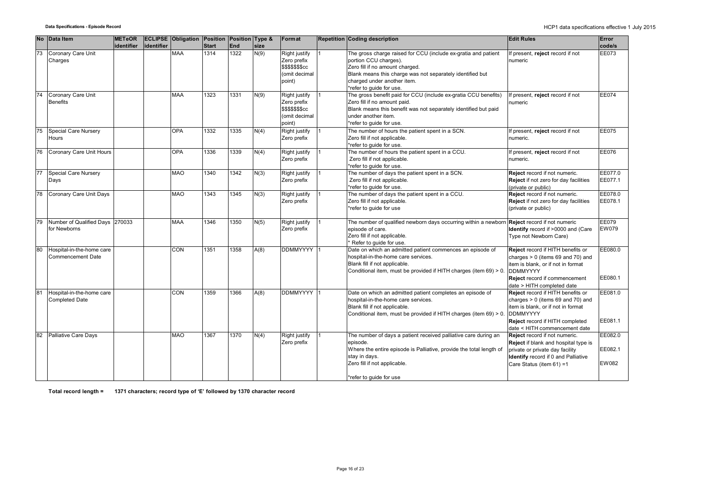|    | No Data Item                                       | <b>METeOR</b> |            | <b>ECLIPSE Obligation Position Position Type &amp;</b> |              |            |      | Format                                                                             | <b>Repetition Coding description</b>                                                                                                                                                                                                               | <b>Edit Rules</b>                                                                                                                                                                                     | Error                              |
|----|----------------------------------------------------|---------------|------------|--------------------------------------------------------|--------------|------------|------|------------------------------------------------------------------------------------|----------------------------------------------------------------------------------------------------------------------------------------------------------------------------------------------------------------------------------------------------|-------------------------------------------------------------------------------------------------------------------------------------------------------------------------------------------------------|------------------------------------|
|    |                                                    | identifier    | identifier |                                                        | <b>Start</b> | <b>End</b> | size |                                                                                    |                                                                                                                                                                                                                                                    |                                                                                                                                                                                                       | code/s                             |
| 73 | Coronary Care Unit<br>Charges                      |               |            | <b>MAA</b>                                             | 1314         | 1322       | N(9) | Right justify<br>Zero prefix<br><b>\$\$\$\$\$\$\$cc</b><br>(omit decimal<br>point) | The gross charge raised for CCU (include ex-gratia and patient<br>portion CCU charges).<br>Zero fill if no amount charged.<br>Blank means this charge was not separately identified but<br>charged under another item.<br>*refer to quide for use. | If present, reject record if not<br>numeric                                                                                                                                                           | EE073                              |
| 74 | Coronary Care Unit<br><b>Benefits</b>              |               |            | MAA                                                    | 1323         | 1331       | N(9) | Right justify<br>Zero prefix<br>\$\$\$\$\$\$\$cc<br>(omit decimal<br>point)        | The gross benefit paid for CCU (include ex-gratia CCU benefits)<br>Zero fill if no amount paid.<br>Blank means this benefit was not separately identified but paid<br>under another item.<br>*refer to quide for use.                              | If present, reject record if not<br>numeric                                                                                                                                                           | EE074                              |
| 75 | Special Care Nursery<br>Hours                      |               |            | OPA                                                    | 1332         | 1335       | N(4) | Right justify<br>Zero prefix                                                       | The number of hours the patient spent in a SCN.<br>Zero fill if not applicable.<br>*refer to guide for use.                                                                                                                                        | If present, reject record if not<br>numeric.                                                                                                                                                          | <b>EE075</b>                       |
| 76 | Coronary Care Unit Hours                           |               |            | OPA                                                    | 1336         | 1339       | N(4) | Right justify<br>Zero prefix                                                       | The number of hours the patient spent in a CCU.<br>Zero fill if not applicable.<br>*refer to quide for use.                                                                                                                                        | If present, reject record if not<br>numeric.                                                                                                                                                          | <b>EE076</b>                       |
| 77 | Special Care Nursery<br>Days                       |               |            | MAO                                                    | 1340         | 1342       | N(3) | Right justify<br>Zero prefix                                                       | The number of days the patient spent in a SCN.<br>Zero fill if not applicable.<br>*refer to guide for use.                                                                                                                                         | Reject record if not numeric.<br>Reject if not zero for day facilities<br>(private or public)                                                                                                         | EE077.0<br>EE077.1                 |
| 78 | Coronary Care Unit Days                            |               |            | <b>MAO</b>                                             | 1343         | 1345       | N(3) | Right justify<br>Zero prefix                                                       | The number of days the patient spent in a CCU.<br>Zero fill if not applicable.<br>*refer to guide for use                                                                                                                                          | Reject record if not numeric.<br><b>Reject</b> if not zero for day facilities<br>(private or public)                                                                                                  | EE078.0<br>EE078.1                 |
|    | Number of Qualified Days 270033<br>for Newborns    |               |            | <b>MAA</b>                                             | 1346         | 1350       | N(5) | Right justify<br>Zero prefix                                                       | The number of qualified newborn days occurring within a newbor<br>episode of care.<br>Zero fill if not applicable.<br>Refer to guide for use.                                                                                                      | Reject record if not numeric<br>Identify record if >0000 and (Care<br>Type not Newborn Care)                                                                                                          | <b>EE079</b><br><b>EW079</b>       |
| 80 | Hospital-in-the-home care<br>Commencement Date     |               |            | CON                                                    | 1351         | 1358       | A(8) | <b>DDMMYYYY</b>                                                                    | Date on which an admitted patient commences an episode of<br>hospital-in-the-home care services.<br>Blank fill if not applicable.<br>Conditional item, must be provided if HITH charges (item 69) > 0.                                             | Reject record if HITH benefits or<br>charges $> 0$ (items 69 and 70) and<br>item is blank, or if not in format<br><b>DDMMYYYY</b><br>Reject record if commencement<br>date > HITH completed date      | EE080.0<br>EE080.1                 |
| 81 | Hospital-in-the-home care<br><b>Completed Date</b> |               |            | <b>CON</b>                                             | 1359         | 1366       | A(8) | <b>DDMMYYYY</b>                                                                    | Date on which an admitted patient completes an episode of<br>hospital-in-the-home care services.<br>Blank fill if not applicable.<br>Conditional item, must be provided if HITH charges (item 69) > 0                                              | Reject record if HITH benefits or<br>charges $> 0$ (items 69 and 70) and<br>item is blank, or if not in format<br><b>DDMMYYYY</b><br>Reject record if HITH completed<br>date < HITH commencement date | EE081.0<br>EE081.1                 |
| 82 | <b>Palliative Care Days</b>                        |               |            | <b>MAO</b>                                             | 1367         | 1370       | N(4) | Right justify<br>Zero prefix                                                       | The number of days a patient received palliative care during an<br>episode.<br>Where the entire episode is Palliative, provide the total length of<br>stay in days.<br>Zero fill if not applicable.<br>*refer to guide for use                     | Reject record if not numeric.<br>Reject if blank and hospital type is<br>private or private day facility<br>Identify record if 0 and Palliative<br>Care Status (item 61) =1                           | EE082.0<br>EE082.1<br><b>EW082</b> |

**Total record length = 1371 characters; record type of 'E' followed by 1370 character record**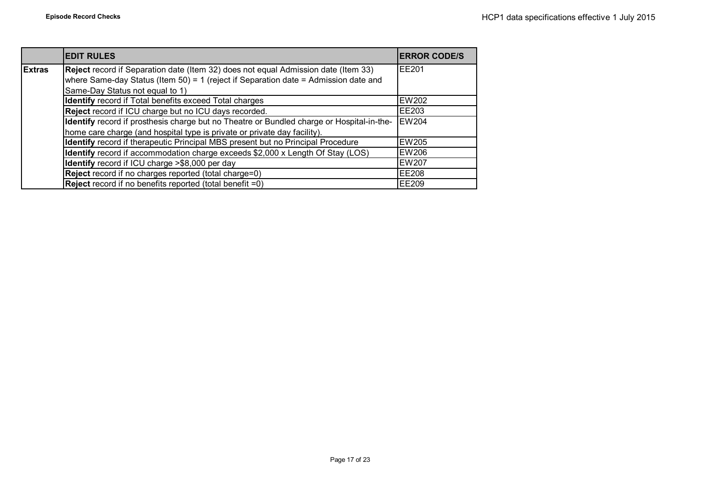|               | <b>EDIT RULES</b>                                                                         | <b>ERROR CODE/S</b> |
|---------------|-------------------------------------------------------------------------------------------|---------------------|
| <b>Extras</b> | Reject record if Separation date (Item 32) does not equal Admission date (Item 33)        | <b>IFF201</b>       |
|               | where Same-day Status (Item 50) = 1 (reject if Separation date = Admission date and       |                     |
|               | Same-Day Status not equal to 1)                                                           |                     |
|               | Identify record if Total benefits exceed Total charges                                    | <b>EW202</b>        |
|               | Reject record if ICU charge but no ICU days recorded.                                     | <b>IEE203</b>       |
|               | Identify record if prosthesis charge but no Theatre or Bundled charge or Hospital-in-the- | <b>EW204</b>        |
|               | home care charge (and hospital type is private or private day facility).                  |                     |
|               | Identify record if therapeutic Principal MBS present but no Principal Procedure           | <b>EW205</b>        |
|               | Identify record if accommodation charge exceeds \$2,000 x Length Of Stay (LOS)            | <b>EW206</b>        |
|               | Identify record if ICU charge >\$8,000 per day                                            | <b>EW207</b>        |
|               | Reject record if no charges reported (total charge=0)                                     | <b>IEE208</b>       |
|               | <b>Reject</b> record if no benefits reported (total benefit =0)                           | <b>IEE209</b>       |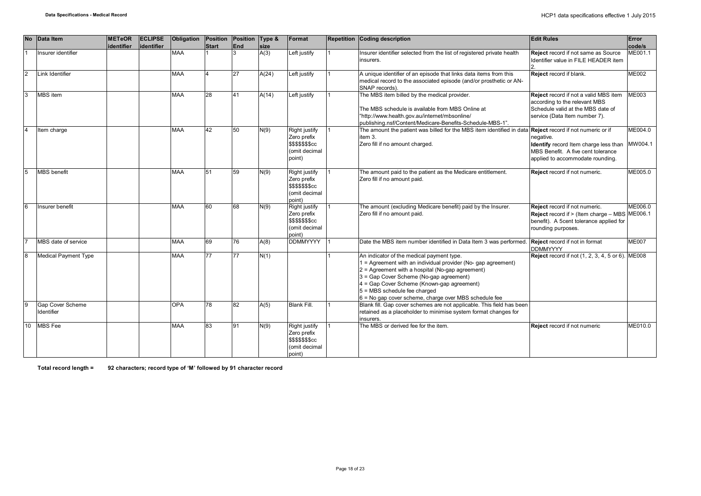| <b>No</b>      | Data Item                      | <b>METeOR</b><br>identifier | <b>ECLIPSE</b><br>lidentifier | Obligation | Position<br><b>Start</b> | Position Type &<br><b>End</b> | size  | Format                                                                             | <b>Repetition Coding description</b>                                                                                                                                                                                                                                                                                                           | <b>Edit Rules</b>                                                                                                                                   | Error<br>code/s    |
|----------------|--------------------------------|-----------------------------|-------------------------------|------------|--------------------------|-------------------------------|-------|------------------------------------------------------------------------------------|------------------------------------------------------------------------------------------------------------------------------------------------------------------------------------------------------------------------------------------------------------------------------------------------------------------------------------------------|-----------------------------------------------------------------------------------------------------------------------------------------------------|--------------------|
|                | Insurer identifier             |                             |                               | <b>MAA</b> |                          |                               | A(3)  | Left justify                                                                       | Insurer identifier selected from the list of registered private health<br>insurers.                                                                                                                                                                                                                                                            | <b>Reject</b> record if not same as Source<br>Identifier value in FILE HEADER item                                                                  | ME001.1            |
| $\overline{2}$ | Link Identifier                |                             |                               | <b>MAA</b> | $\overline{4}$           | 27                            | A(24) | Left justify                                                                       | A unique identifier of an episode that links data items from this<br>medical record to the associated episode (and/or prosthetic or AN-<br>SNAP records).                                                                                                                                                                                      | Reject record if blank.                                                                                                                             | <b>ME002</b>       |
| 3              | MBS item                       |                             |                               | <b>MAA</b> | 28                       | 41                            | A(14) | Left justify                                                                       | The MBS item billed by the medical provider.<br>The MBS schedule is available from MBS Online at<br>"http://www.health.gov.au/internet/mbsonline/<br>publishing.nsf/Content/Medicare-Benefits-Schedule-MBS-1".                                                                                                                                 | <b>Reject</b> record if not a valid MBS item<br>according to the relevant MBS<br>Schedule valid at the MBS date of<br>service (Data Item number 7). | <b>ME003</b>       |
| $\overline{4}$ | Item charge                    |                             |                               | <b>MAA</b> | 42                       | 50                            | N(9)  | Right justify<br>Zero prefix<br><b>\$\$\$\$\$\$\$cc</b><br>(omit decimal<br>point) | The amount the patient was billed for the MBS item identified in data <b>Reject</b> record if not numeric or if<br>item 3.<br>Zero fill if no amount charged.                                                                                                                                                                                  | negative.<br>Identify record Item charge less than<br>MBS Benefit. A five cent tolerance<br>applied to accommodate rounding.                        | ME004.0<br>MW004.1 |
| 5              | <b>MBS</b> benefit             |                             |                               | <b>MAA</b> | 51                       | 59                            | N(9)  | Right justify<br>Zero prefix<br>\$\$\$\$\$\$\$cc<br>(omit decimal<br>point)        | The amount paid to the patient as the Medicare entitlement.<br>Zero fill if no amount paid.                                                                                                                                                                                                                                                    | Reject record if not numeric.                                                                                                                       | ME005.0            |
| 6              | Insurer benefit                |                             |                               | <b>MAA</b> | 60                       | 68                            | N(9)  | Right justify<br>Zero prefix<br><b>\$\$\$\$\$\$\$cc</b><br>(omit decimal<br>point) | The amount (excluding Medicare benefit) paid by the Insurer.<br>Zero fill if no amount paid.                                                                                                                                                                                                                                                   | Reject record if not numeric.<br>Reject record if > (Item charge - MBS ME006.1<br>benefit). A 5cent tolerance applied for<br>rounding purposes.     | ME006.0            |
|                | MBS date of service            |                             |                               | <b>MAA</b> | 69                       | 76                            | A(8)  | <b>DDMMYYYY</b>                                                                    | Date the MBS item number identified in Data Item 3 was performed. Reject record if not in format                                                                                                                                                                                                                                               | <b>DDMMYYYY</b>                                                                                                                                     | <b>ME007</b>       |
| 8              | Medical Payment Type           |                             |                               | <b>MAA</b> | 77                       | 77                            | N(1)  |                                                                                    | An indicator of the medical payment type.<br>= Agreement with an individual provider (No- gap agreement)<br>2 = Agreement with a hospital (No-gap agreement)<br>3 = Gap Cover Scheme (No-gap agreement)<br>4 = Gap Cover Scheme (Known-gap agreement)<br>5 = MBS schedule fee charged<br>6 = No gap cover scheme, charge over MBS schedule fee | <b>Reject</b> record if not (1, 2, 3, 4, 5 or 6). ME008                                                                                             |                    |
| 9              | Gap Cover Scheme<br>Identifier |                             |                               | <b>OPA</b> | 78                       | 82                            | A(5)  | Blank Fill.                                                                        | Blank fill. Gap cover schemes are not applicable. This field has been<br>retained as a placeholder to minimise system format changes for<br>insurers.                                                                                                                                                                                          |                                                                                                                                                     |                    |
| 10             | <b>MBS</b> Fee                 |                             |                               | <b>MAA</b> | 83                       | 91                            | N(9)  | Right justify<br>Zero prefix<br><b>\$\$\$\$\$\$\$cc</b><br>(omit decimal<br>point) | The MBS or derived fee for the item.                                                                                                                                                                                                                                                                                                           | Reject record if not numeric                                                                                                                        | ME010.0            |

**Total record length = 92 characters; record type of 'M' followed by 91 character record**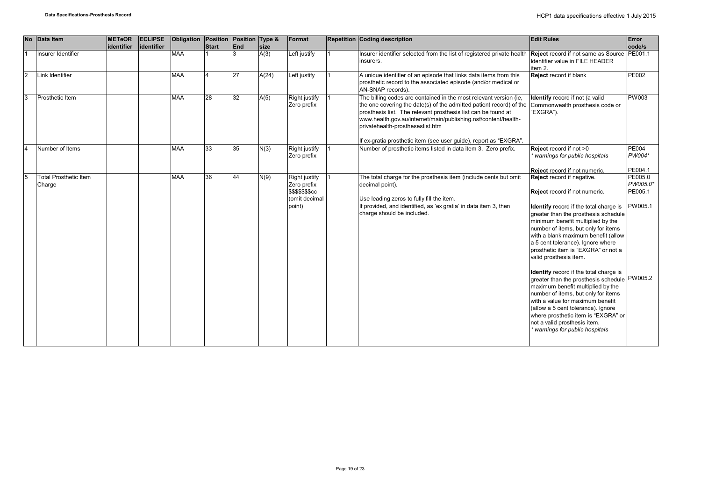| <b>No</b> | Data Item                              | <b>METeOR</b><br>identifier | <b>ECLIPSE</b><br>lidentifier | Obligation Position Position Type & | <b>Start</b> | <b>End</b> | size  | Format                                                                                    | <b>Repetition Coding description</b>                                                                                                                                                                                                                                                                            | <b>Edit Rules</b>                                                                                                                                                                                                                                                                                                                                                                                                                                                                                                                                                                                                                                                                                                                | Error<br>code/s                           |
|-----------|----------------------------------------|-----------------------------|-------------------------------|-------------------------------------|--------------|------------|-------|-------------------------------------------------------------------------------------------|-----------------------------------------------------------------------------------------------------------------------------------------------------------------------------------------------------------------------------------------------------------------------------------------------------------------|----------------------------------------------------------------------------------------------------------------------------------------------------------------------------------------------------------------------------------------------------------------------------------------------------------------------------------------------------------------------------------------------------------------------------------------------------------------------------------------------------------------------------------------------------------------------------------------------------------------------------------------------------------------------------------------------------------------------------------|-------------------------------------------|
|           | Insurer Identifier                     |                             |                               | <b>MAA</b>                          |              |            | A(3)  | Left justify                                                                              | Insurer identifier selected from the list of registered private health<br>insurers.                                                                                                                                                                                                                             | Reject record if not same as Source PE001.1<br>Identifier value in FILE HEADER<br>item 2.                                                                                                                                                                                                                                                                                                                                                                                                                                                                                                                                                                                                                                        |                                           |
| 2         | Link Identifier                        |                             |                               | <b>MAA</b>                          |              | 27         | A(24) | Left justify                                                                              | A unique identifier of an episode that links data items from this<br>prosthetic record to the associated episode (and/or medical or<br>AN-SNAP records).                                                                                                                                                        | Reject record if blank                                                                                                                                                                                                                                                                                                                                                                                                                                                                                                                                                                                                                                                                                                           | <b>PE002</b>                              |
| lз        | Prosthetic Item                        |                             |                               | <b>MAA</b>                          | 28           | 32         | A(5)  | Right justify<br>Zero prefix                                                              | The billing codes are contained in the most relevant version (ie,<br>the one covering the date(s) of the admitted patient record) of the<br>prosthesis list. The relevant prosthesis list can be found at<br>www.health.gov.au/internet/main/publishing.nsf/content/health-<br>privatehealth-prostheseslist.htm | Identify record if not (a valid<br>Commonwealth prosthesis code or<br>"EXGRA").                                                                                                                                                                                                                                                                                                                                                                                                                                                                                                                                                                                                                                                  | <b>PW003</b>                              |
| I۵        | Number of Items                        |                             |                               | <b>MAA</b>                          | 33           | 35         | N(3)  | Right justify                                                                             | If ex-gratia prosthetic item (see user guide), report as "EXGRA".<br>Number of prosthetic items listed in data item 3. Zero prefix.                                                                                                                                                                             | Reject record if not >0                                                                                                                                                                                                                                                                                                                                                                                                                                                                                                                                                                                                                                                                                                          | <b>PE004</b>                              |
|           |                                        |                             |                               |                                     |              |            |       | Zero prefix                                                                               |                                                                                                                                                                                                                                                                                                                 | warnings for public hospitals                                                                                                                                                                                                                                                                                                                                                                                                                                                                                                                                                                                                                                                                                                    | PW004*                                    |
|           |                                        |                             |                               |                                     |              |            |       |                                                                                           |                                                                                                                                                                                                                                                                                                                 | Reject record if not numeric.                                                                                                                                                                                                                                                                                                                                                                                                                                                                                                                                                                                                                                                                                                    | PE004.1                                   |
| 15        | <b>Total Prosthetic Item</b><br>Charge |                             |                               | <b>MAA</b>                          | 36           | 44         | N(9)  | <b>Right justify</b><br>Zero prefix<br><b>\$\$\$\$\$\$\$cc</b><br>(omit decimal<br>point) | The total charge for the prosthesis item (include cents but omit<br>decimal point).<br>Use leading zeros to fully fill the item.<br>If provided, and identified, as 'ex gratia' in data item 3, then<br>charge should be included.                                                                              | Reject record if negative.<br>Reject record if not numeric.<br>Identify record if the total charge is<br>greater than the prosthesis schedule<br>minimum benefit multiplied by the<br>number of items, but only for items<br>with a blank maximum benefit (allow<br>a 5 cent tolerance). Ignore where<br>prosthetic item is "EXGRA" or not a<br>valid prosthesis item.<br>Identify record if the total charge is<br>greater than the prosthesis schedule PW005.2<br>maximum benefit multiplied by the<br>number of items, but only for items<br>with a value for maximum benefit<br>(allow a 5 cent tolerance). Ignore<br>where prosthetic item is "EXGRA" or<br>not a valid prosthesis item.<br>* warnings for public hospitals | PE005.0<br>PW005.0*<br>PE005.1<br>PW005.1 |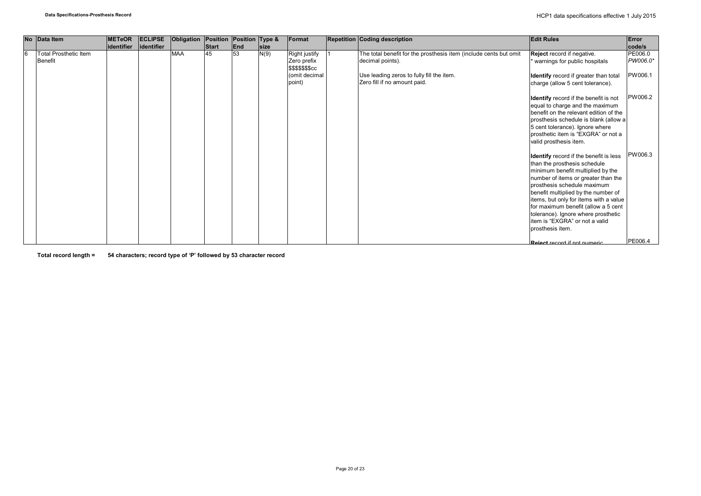|   | No Data Item                 | <b>METeOR</b> | <b>ECLIPSE</b> | Obligation | Position | Position Type & |             | Format                                 | <b>Repetition Coding description</b>                              | <b>Edit Rules</b>                                                         | Error    |
|---|------------------------------|---------------|----------------|------------|----------|-----------------|-------------|----------------------------------------|-------------------------------------------------------------------|---------------------------------------------------------------------------|----------|
|   |                              | lidentifier   | lidentifier    |            | Start    | <b>End</b>      | <b>size</b> |                                        |                                                                   |                                                                           | code/s   |
| 6 | <b>Total Prosthetic Item</b> |               |                | <b>MAA</b> | 45       | 53              | N(9)        | <b>Right justify</b>                   | The total benefit for the prosthesis item (include cents but omit | Reject record if negative.                                                | PE006.0  |
|   | <b>Benefit</b>               |               |                |            |          |                 |             | Zero prefix<br><b>\$\$\$\$\$\$\$cc</b> | decimal points).                                                  | warnings for public hospitals                                             | PW006.0* |
|   |                              |               |                |            |          |                 |             | (omit decimal                          | Use leading zeros to fully fill the item.                         |                                                                           | PW006.1  |
|   |                              |               |                |            |          |                 |             | point)                                 | Zero fill if no amount paid.                                      | Identify record if greater than total<br>charge (allow 5 cent tolerance). |          |
|   |                              |               |                |            |          |                 |             |                                        |                                                                   |                                                                           |          |
|   |                              |               |                |            |          |                 |             |                                        |                                                                   | Identify record if the benefit is not                                     | PW006.2  |
|   |                              |               |                |            |          |                 |             |                                        |                                                                   | equal to charge and the maximum                                           |          |
|   |                              |               |                |            |          |                 |             |                                        |                                                                   | benefit on the relevant edition of the                                    |          |
|   |                              |               |                |            |          |                 |             |                                        |                                                                   | prosthesis schedule is blank (allow a                                     |          |
|   |                              |               |                |            |          |                 |             |                                        |                                                                   | 5 cent tolerance). Ignore where                                           |          |
|   |                              |               |                |            |          |                 |             |                                        |                                                                   | prosthetic item is "EXGRA" or not a                                       |          |
|   |                              |               |                |            |          |                 |             |                                        |                                                                   | valid prosthesis item.                                                    |          |
|   |                              |               |                |            |          |                 |             |                                        |                                                                   |                                                                           |          |
|   |                              |               |                |            |          |                 |             |                                        |                                                                   | <b>Identify</b> record if the benefit is less                             | PW006.3  |
|   |                              |               |                |            |          |                 |             |                                        |                                                                   | than the prosthesis schedule                                              |          |
|   |                              |               |                |            |          |                 |             |                                        |                                                                   | minimum benefit multiplied by the                                         |          |
|   |                              |               |                |            |          |                 |             |                                        |                                                                   | number of items or greater than the<br>prosthesis schedule maximum        |          |
|   |                              |               |                |            |          |                 |             |                                        |                                                                   | benefit multiplied by the number of                                       |          |
|   |                              |               |                |            |          |                 |             |                                        |                                                                   | items, but only for items with a value                                    |          |
|   |                              |               |                |            |          |                 |             |                                        |                                                                   | for maximum benefit (allow a 5 cent                                       |          |
|   |                              |               |                |            |          |                 |             |                                        |                                                                   | tolerance). Ignore where prosthetic                                       |          |
|   |                              |               |                |            |          |                 |             |                                        |                                                                   | item is "EXGRA" or not a valid                                            |          |
|   |                              |               |                |            |          |                 |             |                                        |                                                                   | prosthesis item.                                                          |          |
|   |                              |               |                |            |          |                 |             |                                        |                                                                   |                                                                           |          |
|   |                              |               |                |            |          |                 |             |                                        |                                                                   | Poiect record if not numeric                                              | PE006.4  |

**Total record length = 54 characters; record type of 'P' followed by 53 character record**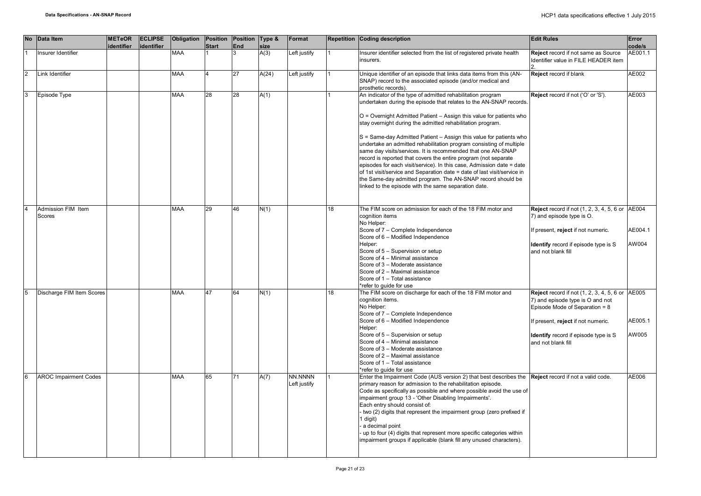|                | <b>No</b> | Data Item                    | <b>METeOR</b><br>identifier | <b>ECLIPSE</b><br>identifier | Obligation Position | <b>Start</b> | Position Type &<br><b>End</b> | size  | Format       |    | Repetition Coding description                                                                                                               | <b>Edit Rules</b>                                      | Error<br>code/s |
|----------------|-----------|------------------------------|-----------------------------|------------------------------|---------------------|--------------|-------------------------------|-------|--------------|----|---------------------------------------------------------------------------------------------------------------------------------------------|--------------------------------------------------------|-----------------|
|                |           | Insurer Identifier           |                             |                              | <b>MAA</b>          |              |                               | A(3)  | Left justify |    | Insurer identifier selected from the list of registered private health                                                                      | Reject record if not same as Source                    | AE001.1         |
|                |           |                              |                             |                              |                     |              |                               |       |              |    | insurers.                                                                                                                                   | Identifier value in FILE HEADER item                   |                 |
| $\overline{2}$ |           | Link Identifier              |                             |                              | <b>MAA</b>          |              | 27                            | A(24) | Left justify |    | Unique identifier of an episode that links data items from this (AN-                                                                        | Reject record if blank                                 | AE002           |
|                |           |                              |                             |                              |                     |              |                               |       |              |    | SNAP) record to the associated episode (and/or medical and<br>prosthetic records).                                                          |                                                        |                 |
| 3              |           | Episode Type                 |                             |                              | <b>MAA</b>          | 28           | 28                            | A(1)  |              |    | An indicator of the type of admitted rehabilitation program                                                                                 | Reject record if not ('O' or 'S').                     | AE003           |
|                |           |                              |                             |                              |                     |              |                               |       |              |    | undertaken during the episode that relates to the AN-SNAP records.                                                                          |                                                        |                 |
|                |           |                              |                             |                              |                     |              |                               |       |              |    | O = Overnight Admitted Patient - Assign this value for patients who<br>stay overnight during the admitted rehabilitation program.           |                                                        |                 |
|                |           |                              |                             |                              |                     |              |                               |       |              |    |                                                                                                                                             |                                                        |                 |
|                |           |                              |                             |                              |                     |              |                               |       |              |    | S = Same-day Admitted Patient - Assign this value for patients who                                                                          |                                                        |                 |
|                |           |                              |                             |                              |                     |              |                               |       |              |    | undertake an admitted rehabilitation program consisting of multiple<br>same day visits/services. It is recommended that one AN-SNAP         |                                                        |                 |
|                |           |                              |                             |                              |                     |              |                               |       |              |    | record is reported that covers the entire program (not separate                                                                             |                                                        |                 |
|                |           |                              |                             |                              |                     |              |                               |       |              |    | episodes for each visit/service). In this case, Admission date = date                                                                       |                                                        |                 |
|                |           |                              |                             |                              |                     |              |                               |       |              |    | of 1st visit/service and Separation date = date of last visit/service in                                                                    |                                                        |                 |
|                |           |                              |                             |                              |                     |              |                               |       |              |    | the Same-day admitted program. The AN-SNAP record should be                                                                                 |                                                        |                 |
|                |           |                              |                             |                              |                     |              |                               |       |              |    | linked to the episode with the same separation date.                                                                                        |                                                        |                 |
|                |           |                              |                             |                              |                     |              |                               |       |              |    |                                                                                                                                             |                                                        |                 |
|                |           | Admission FIM Item           |                             |                              | <b>MAA</b>          | 29           | 46                            | N(1)  |              | 18 | The FIM score on admission for each of the 18 FIM motor and                                                                                 | <b>Reject</b> record if not (1, 2, 3, 4, 5, 6 or AE004 |                 |
|                |           | Scores                       |                             |                              |                     |              |                               |       |              |    | cognition items<br>No Helper:                                                                                                               | 7) and episode type is O.                              |                 |
|                |           |                              |                             |                              |                     |              |                               |       |              |    | Score of 7 - Complete Independence                                                                                                          | f present, reject if not numeric.                      | AE004.1         |
|                |           |                              |                             |                              |                     |              |                               |       |              |    | Score of 6 - Modified Independence                                                                                                          |                                                        |                 |
|                |           |                              |                             |                              |                     |              |                               |       |              |    | Helper:                                                                                                                                     | Identify record if episode type is S                   | AW004           |
|                |           |                              |                             |                              |                     |              |                               |       |              |    | Score of 5 - Supervision or setup                                                                                                           | and not blank fill                                     |                 |
|                |           |                              |                             |                              |                     |              |                               |       |              |    | Score of 4 - Minimal assistance<br>Score of 3 - Moderate assistance                                                                         |                                                        |                 |
|                |           |                              |                             |                              |                     |              |                               |       |              |    | Score of 2 - Maximal assistance                                                                                                             |                                                        |                 |
|                |           |                              |                             |                              |                     |              |                               |       |              |    | Score of 1 - Total assistance                                                                                                               |                                                        |                 |
|                |           |                              |                             |                              |                     |              |                               |       |              |    | *refer to quide for use                                                                                                                     |                                                        |                 |
|                |           | Discharge FIM Item Scores    |                             |                              | <b>MAA</b>          | 47           | 64                            | N(1)  |              | 18 | The FIM score on discharge for each of the 18 FIM motor and                                                                                 | Reject record if not $(1, 2, 3, 4, 5, 6)$ or $AE005$   |                 |
|                |           |                              |                             |                              |                     |              |                               |       |              |    | cognition items.                                                                                                                            | 7) and episode type is O and not                       |                 |
|                |           |                              |                             |                              |                     |              |                               |       |              |    | No Helper:<br>Score of 7 - Complete Independence                                                                                            | Episode Mode of Separation = 8                         |                 |
|                |           |                              |                             |                              |                     |              |                               |       |              |    | Score of 6 - Modified Independence                                                                                                          | f present, reject if not numeric.                      | AE005.1         |
|                |           |                              |                             |                              |                     |              |                               |       |              |    | Helper:                                                                                                                                     |                                                        |                 |
|                |           |                              |                             |                              |                     |              |                               |       |              |    | Score of 5 - Supervision or setup                                                                                                           | Identify record if episode type is S                   | AW005           |
|                |           |                              |                             |                              |                     |              |                               |       |              |    | Score of 4 - Minimal assistance                                                                                                             | and not blank fill                                     |                 |
|                |           |                              |                             |                              |                     |              |                               |       |              |    | Score of 3 - Moderate assistance<br>Score of 2 - Maximal assistance                                                                         |                                                        |                 |
|                |           |                              |                             |                              |                     |              |                               |       |              |    | Score of 1 - Total assistance                                                                                                               |                                                        |                 |
|                |           |                              |                             |                              |                     |              |                               |       |              |    | *refer to quide for use                                                                                                                     |                                                        |                 |
|                |           | <b>AROC Impairment Codes</b> |                             |                              | <b>MAA</b>          | 65           | 71                            | A(7)  | NN.NNNN      |    | Enter the Impairment Code (AUS version 2) that best describes the Reject record if not a valid code.                                        |                                                        | AE006           |
|                |           |                              |                             |                              |                     |              |                               |       | Left justify |    | primary reason for admission to the rehabilitation episode.                                                                                 |                                                        |                 |
|                |           |                              |                             |                              |                     |              |                               |       |              |    | Code as specifically as possible and where possible avoid the use of<br>impairment group 13 - 'Other Disabling Impairments'.                |                                                        |                 |
|                |           |                              |                             |                              |                     |              |                               |       |              |    | Each entry should consist of:                                                                                                               |                                                        |                 |
|                |           |                              |                             |                              |                     |              |                               |       |              |    | two (2) digits that represent the impairment group (zero prefixed if                                                                        |                                                        |                 |
|                |           |                              |                             |                              |                     |              |                               |       |              |    | 1 digit)                                                                                                                                    |                                                        |                 |
|                |           |                              |                             |                              |                     |              |                               |       |              |    | a decimal point                                                                                                                             |                                                        |                 |
|                |           |                              |                             |                              |                     |              |                               |       |              |    | up to four (4) digits that represent more specific categories within<br>impairment groups if applicable (blank fill any unused characters). |                                                        |                 |
|                |           |                              |                             |                              |                     |              |                               |       |              |    |                                                                                                                                             |                                                        |                 |
|                |           |                              |                             |                              |                     |              |                               |       |              |    |                                                                                                                                             |                                                        |                 |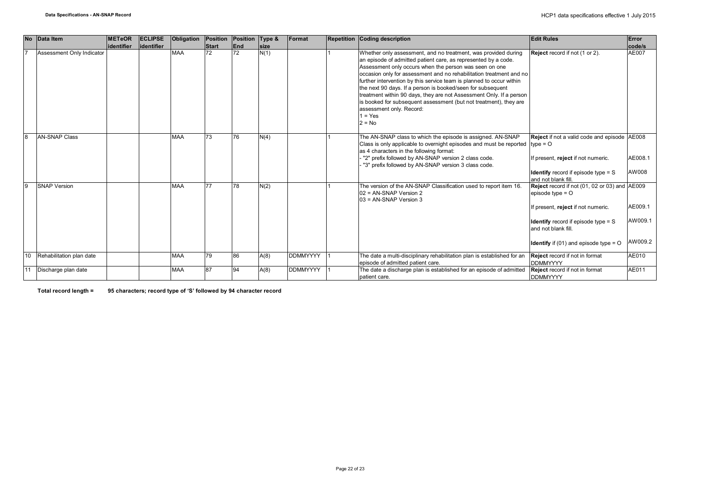|                | No Data Item              | <b>METeOR</b> | <b>ECLIPSE</b> | <b>Obligation</b> | Position     | Position Type &   |      | Format          | <b>Repetition Coding description</b>                                                                                                                                                                                                                                                                                                                                                                                                                                                                                                                                                                      | <b>Edit Rules</b>                                                                                                                                                                                                                        | Error                         |
|----------------|---------------------------|---------------|----------------|-------------------|--------------|-------------------|------|-----------------|-----------------------------------------------------------------------------------------------------------------------------------------------------------------------------------------------------------------------------------------------------------------------------------------------------------------------------------------------------------------------------------------------------------------------------------------------------------------------------------------------------------------------------------------------------------------------------------------------------------|------------------------------------------------------------------------------------------------------------------------------------------------------------------------------------------------------------------------------------------|-------------------------------|
|                |                           | lidentifier   | identifier     |                   | <b>Start</b> | End               | size |                 |                                                                                                                                                                                                                                                                                                                                                                                                                                                                                                                                                                                                           |                                                                                                                                                                                                                                          | code/s                        |
| $\overline{7}$ | Assessment Only Indicator |               |                | <b>MAA</b>        | 72           | 72                | N(1) |                 | Whether only assessment, and no treatment, was provided during<br>an episode of admitted patient care, as represented by a code.<br>Assessment only occurs when the person was seen on one<br>occasion only for assessment and no rehabilitation treatment and no<br>further intervention by this service team is planned to occur within<br>the next 90 days. If a person is booked/seen for subsequent<br>treatment within 90 days, they are not Assessment Only. If a person<br>is booked for subsequent assessment (but not treatment), they are<br>assessment only. Record:<br>$1 = Yes$<br>$2 = No$ | Reject record if not (1 or 2).                                                                                                                                                                                                           | AE007                         |
| 8              | <b>AN-SNAP Class</b>      |               |                | <b>MAA</b>        | 73           | 76                | N(4) |                 | The AN-SNAP class to which the episode is assigned. AN-SNAP<br>Class is only applicable to overnight episodes and must be reported $ $ type = O<br>as 4 characters in the following format:<br>"2" prefix followed by AN-SNAP version 2 class code.<br>"3" prefix followed by AN-SNAP version 3 class code.                                                                                                                                                                                                                                                                                               | Reject if not a valid code and episode AE008<br>If present, reject if not numeric.<br><b>Identify</b> record if episode type $= S$<br>and not blank fill.                                                                                | AE008.1<br>AW008              |
| 9              | <b>SNAP Version</b>       |               |                | <b>MAA</b>        | 77           | 78                | N(2) |                 | The version of the AN-SNAP Classification used to report item 16.<br>02 = AN-SNAP Version 2<br>$03$ = AN-SNAP Version 3                                                                                                                                                                                                                                                                                                                                                                                                                                                                                   | Reject record if not (01, 02 or 03) and AE009<br>episode type $=$ $\circ$<br>If present, reject if not numeric.<br><b>Identify</b> record if episode type $=$ S<br>and not blank fill.<br><b>Identify</b> if (01) and episode type $=$ O | AE009.1<br>AW009.1<br>AW009.2 |
| 10             | Rehabilitation plan date  |               |                | <b>MAA</b>        | 79           | 86                | A(8) | <b>DDMMYYYY</b> | The date a multi-disciplinary rehabilitation plan is established for an<br>episode of admitted patient care.                                                                                                                                                                                                                                                                                                                                                                                                                                                                                              | <b>Reject</b> record if not in format<br><b>DDMMYYYY</b>                                                                                                                                                                                 | AE010                         |
| 11             | Discharge plan date       |               |                | <b>MAA</b>        | 87           | $Q_{\mathcal{A}}$ | A(8) | <b>DDMMYYYY</b> | The date a discharge plan is established for an episode of admitted<br>patient care.                                                                                                                                                                                                                                                                                                                                                                                                                                                                                                                      | Reject record if not in format<br><b>DDMMYYYY</b>                                                                                                                                                                                        | AE011                         |

**Total record length = 95 characters; record type of 'S' followed by 94 character record**